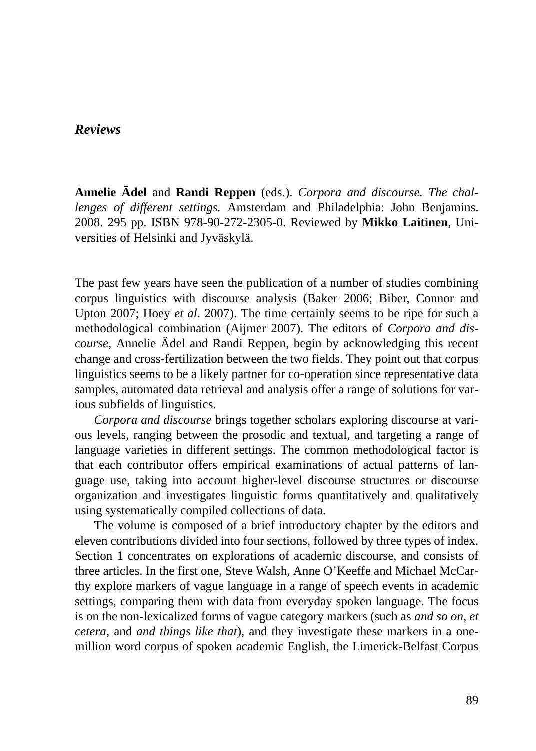### *Reviews*

**Annelie Ädel** and **Randi Reppen** (eds.). *Corpora and discourse. The challenges of different settings.* Amsterdam and Philadelphia: John Benjamins. 2008. 295 pp. ISBN 978-90-272-2305-0. Reviewed by **Mikko Laitinen**, Universities of Helsinki and Jyväskylä.

The past few years have seen the publication of a number of studies combining corpus linguistics with discourse analysis (Baker 2006; Biber, Connor and Upton 2007; Hoey *et al*. 2007). The time certainly seems to be ripe for such a methodological combination (Aijmer 2007). The editors of *Corpora and discourse*, Annelie Ädel and Randi Reppen, begin by acknowledging this recent change and cross-fertilization between the two fields. They point out that corpus linguistics seems to be a likely partner for co-operation since representative data samples, automated data retrieval and analysis offer a range of solutions for various subfields of linguistics.

*Corpora and discourse* brings together scholars exploring discourse at various levels, ranging between the prosodic and textual, and targeting a range of language varieties in different settings. The common methodological factor is that each contributor offers empirical examinations of actual patterns of language use, taking into account higher-level discourse structures or discourse organization and investigates linguistic forms quantitatively and qualitatively using systematically compiled collections of data.

The volume is composed of a brief introductory chapter by the editors and eleven contributions divided into four sections, followed by three types of index. Section 1 concentrates on explorations of academic discourse, and consists of three articles. In the first one, Steve Walsh, Anne O'Keeffe and Michael McCarthy explore markers of vague language in a range of speech events in academic settings, comparing them with data from everyday spoken language. The focus is on the non-lexicalized forms of vague category markers (such as *and so on, et cetera*, and *and things like that*), and they investigate these markers in a onemillion word corpus of spoken academic English, the Limerick-Belfast Corpus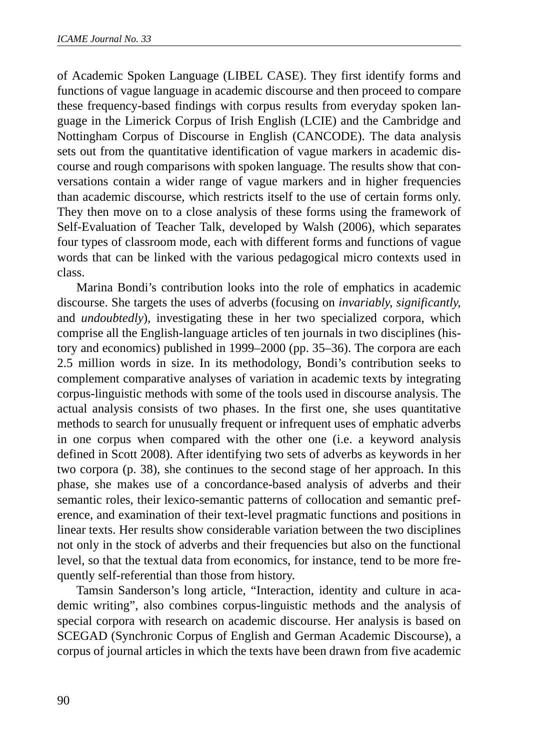of Academic Spoken Language (LIBEL CASE). They first identify forms and functions of vague language in academic discourse and then proceed to compare these frequency-based findings with corpus results from everyday spoken language in the Limerick Corpus of Irish English (LCIE) and the Cambridge and Nottingham Corpus of Discourse in English (CANCODE). The data analysis sets out from the quantitative identification of vague markers in academic discourse and rough comparisons with spoken language. The results show that conversations contain a wider range of vague markers and in higher frequencies than academic discourse, which restricts itself to the use of certain forms only. They then move on to a close analysis of these forms using the framework of Self-Evaluation of Teacher Talk, developed by Walsh (2006), which separates four types of classroom mode, each with different forms and functions of vague words that can be linked with the various pedagogical micro contexts used in class.

Marina Bondi's contribution looks into the role of emphatics in academic discourse. She targets the uses of adverbs (focusing on *invariably, significantly*, and *undoubtedly*), investigating these in her two specialized corpora, which comprise all the English-language articles of ten journals in two disciplines (history and economics) published in 1999–2000 (pp. 35–36). The corpora are each 2.5 million words in size. In its methodology, Bondi's contribution seeks to complement comparative analyses of variation in academic texts by integrating corpus-linguistic methods with some of the tools used in discourse analysis. The actual analysis consists of two phases. In the first one, she uses quantitative methods to search for unusually frequent or infrequent uses of emphatic adverbs in one corpus when compared with the other one (i.e. a keyword analysis defined in Scott 2008). After identifying two sets of adverbs as keywords in her two corpora (p. 38), she continues to the second stage of her approach. In this phase, she makes use of a concordance-based analysis of adverbs and their semantic roles, their lexico-semantic patterns of collocation and semantic preference, and examination of their text-level pragmatic functions and positions in linear texts. Her results show considerable variation between the two disciplines not only in the stock of adverbs and their frequencies but also on the functional level, so that the textual data from economics, for instance, tend to be more frequently self-referential than those from history.

Tamsin Sanderson's long article, "Interaction, identity and culture in academic writing", also combines corpus-linguistic methods and the analysis of special corpora with research on academic discourse. Her analysis is based on SCEGAD (Synchronic Corpus of English and German Academic Discourse), a corpus of journal articles in which the texts have been drawn from five academic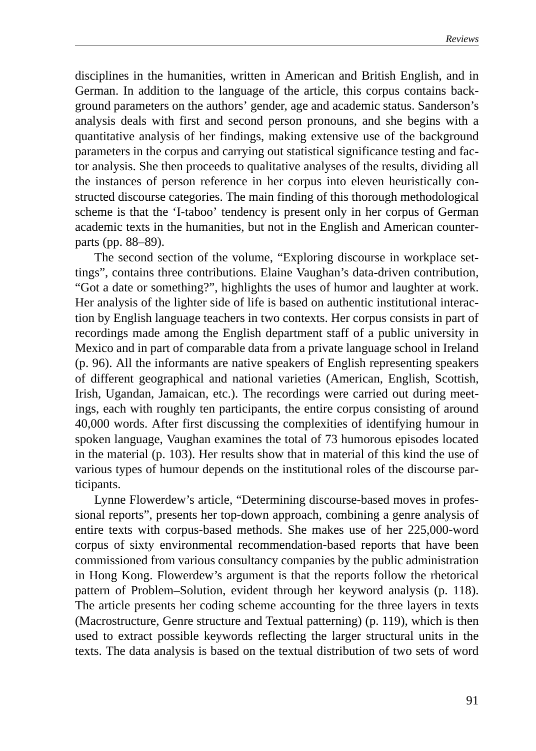disciplines in the humanities, written in American and British English, and in German. In addition to the language of the article, this corpus contains background parameters on the authors' gender, age and academic status. Sanderson's analysis deals with first and second person pronouns, and she begins with a quantitative analysis of her findings, making extensive use of the background parameters in the corpus and carrying out statistical significance testing and factor analysis. She then proceeds to qualitative analyses of the results, dividing all the instances of person reference in her corpus into eleven heuristically constructed discourse categories. The main finding of this thorough methodological scheme is that the 'I-taboo' tendency is present only in her corpus of German academic texts in the humanities, but not in the English and American counterparts (pp. 88–89).

The second section of the volume, "Exploring discourse in workplace settings", contains three contributions. Elaine Vaughan's data-driven contribution, "Got a date or something?", highlights the uses of humor and laughter at work. Her analysis of the lighter side of life is based on authentic institutional interaction by English language teachers in two contexts. Her corpus consists in part of recordings made among the English department staff of a public university in Mexico and in part of comparable data from a private language school in Ireland (p. 96). All the informants are native speakers of English representing speakers of different geographical and national varieties (American, English, Scottish, Irish, Ugandan, Jamaican, etc.). The recordings were carried out during meetings, each with roughly ten participants, the entire corpus consisting of around 40,000 words. After first discussing the complexities of identifying humour in spoken language, Vaughan examines the total of 73 humorous episodes located in the material (p. 103). Her results show that in material of this kind the use of various types of humour depends on the institutional roles of the discourse participants.

Lynne Flowerdew's article, "Determining discourse-based moves in professional reports", presents her top-down approach, combining a genre analysis of entire texts with corpus-based methods. She makes use of her 225,000-word corpus of sixty environmental recommendation-based reports that have been commissioned from various consultancy companies by the public administration in Hong Kong. Flowerdew's argument is that the reports follow the rhetorical pattern of Problem–Solution, evident through her keyword analysis (p. 118). The article presents her coding scheme accounting for the three layers in texts (Macrostructure, Genre structure and Textual patterning) (p. 119), which is then used to extract possible keywords reflecting the larger structural units in the texts. The data analysis is based on the textual distribution of two sets of word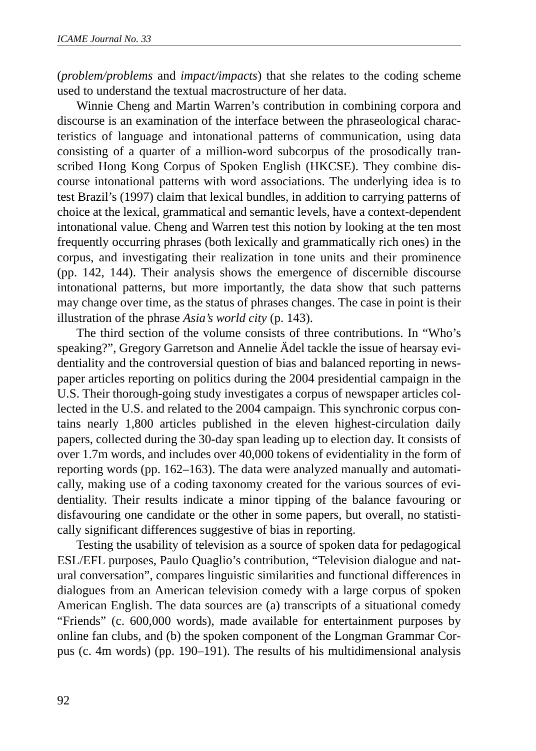(*problem/problems* and *impact/impacts*) that she relates to the coding scheme used to understand the textual macrostructure of her data.

Winnie Cheng and Martin Warren's contribution in combining corpora and discourse is an examination of the interface between the phraseological characteristics of language and intonational patterns of communication, using data consisting of a quarter of a million-word subcorpus of the prosodically transcribed Hong Kong Corpus of Spoken English (HKCSE). They combine discourse intonational patterns with word associations. The underlying idea is to test Brazil's (1997) claim that lexical bundles, in addition to carrying patterns of choice at the lexical, grammatical and semantic levels, have a context-dependent intonational value. Cheng and Warren test this notion by looking at the ten most frequently occurring phrases (both lexically and grammatically rich ones) in the corpus, and investigating their realization in tone units and their prominence (pp. 142, 144). Their analysis shows the emergence of discernible discourse intonational patterns, but more importantly, the data show that such patterns may change over time, as the status of phrases changes. The case in point is their illustration of the phrase *Asia's world city* (p. 143).

The third section of the volume consists of three contributions. In "Who's speaking?", Gregory Garretson and Annelie Ädel tackle the issue of hearsay evidentiality and the controversial question of bias and balanced reporting in newspaper articles reporting on politics during the 2004 presidential campaign in the U.S. Their thorough-going study investigates a corpus of newspaper articles collected in the U.S. and related to the 2004 campaign. This synchronic corpus contains nearly 1,800 articles published in the eleven highest-circulation daily papers, collected during the 30-day span leading up to election day. It consists of over 1.7m words, and includes over 40,000 tokens of evidentiality in the form of reporting words (pp. 162–163). The data were analyzed manually and automatically, making use of a coding taxonomy created for the various sources of evidentiality. Their results indicate a minor tipping of the balance favouring or disfavouring one candidate or the other in some papers, but overall, no statistically significant differences suggestive of bias in reporting.

Testing the usability of television as a source of spoken data for pedagogical ESL/EFL purposes, Paulo Quaglio's contribution, "Television dialogue and natural conversation", compares linguistic similarities and functional differences in dialogues from an American television comedy with a large corpus of spoken American English. The data sources are (a) transcripts of a situational comedy "Friends" (c. 600,000 words), made available for entertainment purposes by online fan clubs, and (b) the spoken component of the Longman Grammar Corpus (c. 4m words) (pp. 190–191). The results of his multidimensional analysis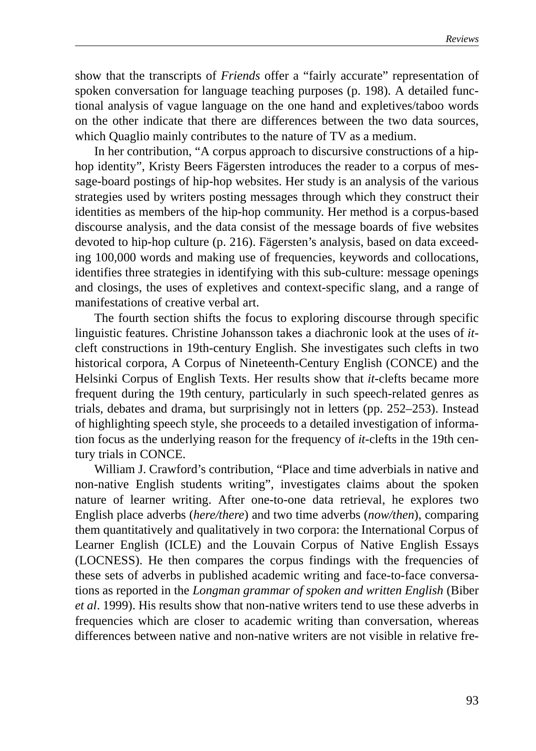show that the transcripts of *Friends* offer a "fairly accurate" representation of spoken conversation for language teaching purposes (p. 198). A detailed functional analysis of vague language on the one hand and expletives/taboo words on the other indicate that there are differences between the two data sources, which Quaglio mainly contributes to the nature of TV as a medium.

In her contribution, "A corpus approach to discursive constructions of a hiphop identity", Kristy Beers Fägersten introduces the reader to a corpus of message-board postings of hip-hop websites. Her study is an analysis of the various strategies used by writers posting messages through which they construct their identities as members of the hip-hop community. Her method is a corpus-based discourse analysis, and the data consist of the message boards of five websites devoted to hip-hop culture (p. 216). Fägersten's analysis, based on data exceeding 100,000 words and making use of frequencies, keywords and collocations, identifies three strategies in identifying with this sub-culture: message openings and closings, the uses of expletives and context-specific slang, and a range of manifestations of creative verbal art.

The fourth section shifts the focus to exploring discourse through specific linguistic features. Christine Johansson takes a diachronic look at the uses of *it*cleft constructions in 19th-century English. She investigates such clefts in two historical corpora, A Corpus of Nineteenth-Century English (CONCE) and the Helsinki Corpus of English Texts. Her results show that *it*-clefts became more frequent during the 19th century, particularly in such speech-related genres as trials, debates and drama, but surprisingly not in letters (pp. 252–253). Instead of highlighting speech style, she proceeds to a detailed investigation of information focus as the underlying reason for the frequency of *it*-clefts in the 19th century trials in CONCE.

William J. Crawford's contribution, "Place and time adverbials in native and non-native English students writing", investigates claims about the spoken nature of learner writing. After one-to-one data retrieval, he explores two English place adverbs (*here/there*) and two time adverbs (*now/then*), comparing them quantitatively and qualitatively in two corpora: the International Corpus of Learner English (ICLE) and the Louvain Corpus of Native English Essays (LOCNESS). He then compares the corpus findings with the frequencies of these sets of adverbs in published academic writing and face-to-face conversations as reported in the *Longman grammar of spoken and written English* (Biber *et al*. 1999). His results show that non-native writers tend to use these adverbs in frequencies which are closer to academic writing than conversation, whereas differences between native and non-native writers are not visible in relative fre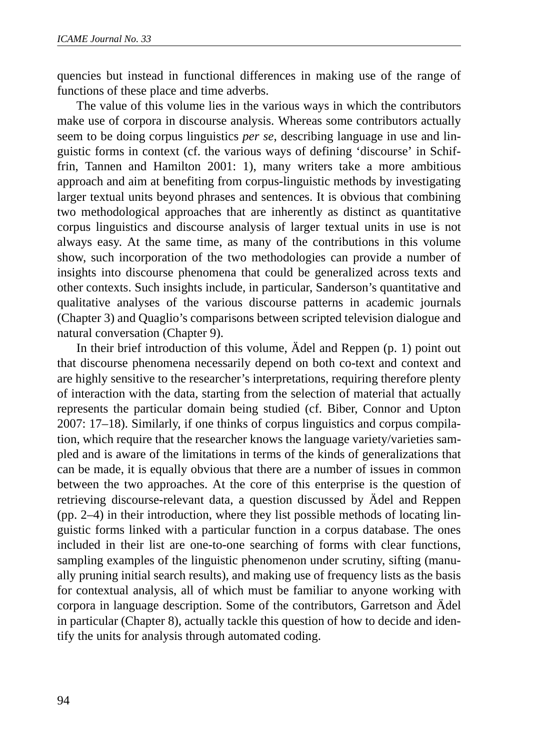quencies but instead in functional differences in making use of the range of functions of these place and time adverbs.

The value of this volume lies in the various ways in which the contributors make use of corpora in discourse analysis. Whereas some contributors actually seem to be doing corpus linguistics *per se*, describing language in use and linguistic forms in context (cf. the various ways of defining 'discourse' in Schiffrin, Tannen and Hamilton 2001: 1), many writers take a more ambitious approach and aim at benefiting from corpus-linguistic methods by investigating larger textual units beyond phrases and sentences. It is obvious that combining two methodological approaches that are inherently as distinct as quantitative corpus linguistics and discourse analysis of larger textual units in use is not always easy. At the same time, as many of the contributions in this volume show, such incorporation of the two methodologies can provide a number of insights into discourse phenomena that could be generalized across texts and other contexts. Such insights include, in particular, Sanderson's quantitative and qualitative analyses of the various discourse patterns in academic journals (Chapter 3) and Quaglio's comparisons between scripted television dialogue and natural conversation (Chapter 9).

In their brief introduction of this volume, Ädel and Reppen (p. 1) point out that discourse phenomena necessarily depend on both co-text and context and are highly sensitive to the researcher's interpretations, requiring therefore plenty of interaction with the data, starting from the selection of material that actually represents the particular domain being studied (cf. Biber, Connor and Upton 2007: 17–18). Similarly, if one thinks of corpus linguistics and corpus compilation, which require that the researcher knows the language variety/varieties sampled and is aware of the limitations in terms of the kinds of generalizations that can be made, it is equally obvious that there are a number of issues in common between the two approaches. At the core of this enterprise is the question of retrieving discourse-relevant data, a question discussed by Ädel and Reppen (pp. 2–4) in their introduction, where they list possible methods of locating linguistic forms linked with a particular function in a corpus database. The ones included in their list are one-to-one searching of forms with clear functions, sampling examples of the linguistic phenomenon under scrutiny, sifting (manually pruning initial search results), and making use of frequency lists as the basis for contextual analysis, all of which must be familiar to anyone working with corpora in language description. Some of the contributors, Garretson and Ädel in particular (Chapter 8), actually tackle this question of how to decide and identify the units for analysis through automated coding.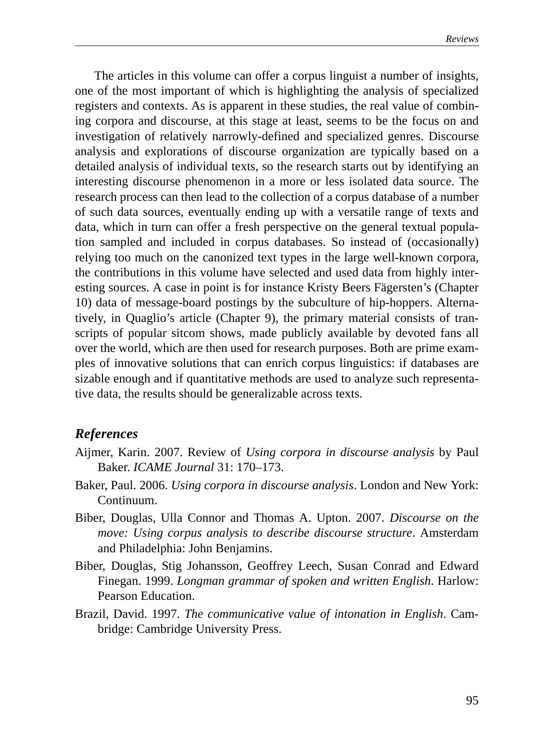The articles in this volume can offer a corpus linguist a number of insights, one of the most important of which is highlighting the analysis of specialized registers and contexts. As is apparent in these studies, the real value of combining corpora and discourse, at this stage at least, seems to be the focus on and investigation of relatively narrowly-defined and specialized genres. Discourse analysis and explorations of discourse organization are typically based on a detailed analysis of individual texts, so the research starts out by identifying an interesting discourse phenomenon in a more or less isolated data source. The research process can then lead to the collection of a corpus database of a number of such data sources, eventually ending up with a versatile range of texts and data, which in turn can offer a fresh perspective on the general textual population sampled and included in corpus databases. So instead of (occasionally) relying too much on the canonized text types in the large well-known corpora, the contributions in this volume have selected and used data from highly interesting sources. A case in point is for instance Kristy Beers Fägersten's (Chapter 10) data of message-board postings by the subculture of hip-hoppers. Alternatively, in Quaglio's article (Chapter 9), the primary material consists of transcripts of popular sitcom shows, made publicly available by devoted fans all over the world, which are then used for research purposes. Both are prime examples of innovative solutions that can enrich corpus linguistics: if databases are sizable enough and if quantitative methods are used to analyze such representative data, the results should be generalizable across texts.

## *References*

- Aijmer, Karin. 2007. Review of *Using corpora in discourse analysis* by Paul Baker. *ICAME Journal* 31: 170–173.
- Baker, Paul. 2006. *Using corpora in discourse analysis*. London and New York: Continuum.
- Biber, Douglas, Ulla Connor and Thomas A. Upton. 2007. *Discourse on the move: Using corpus analysis to describe discourse structure*. Amsterdam and Philadelphia: John Benjamins.
- Biber, Douglas, Stig Johansson, Geoffrey Leech, Susan Conrad and Edward Finegan. 1999. *Longman grammar of spoken and written English*. Harlow: Pearson Education.
- Brazil, David. 1997. *The communicative value of intonation in English*. Cambridge: Cambridge University Press.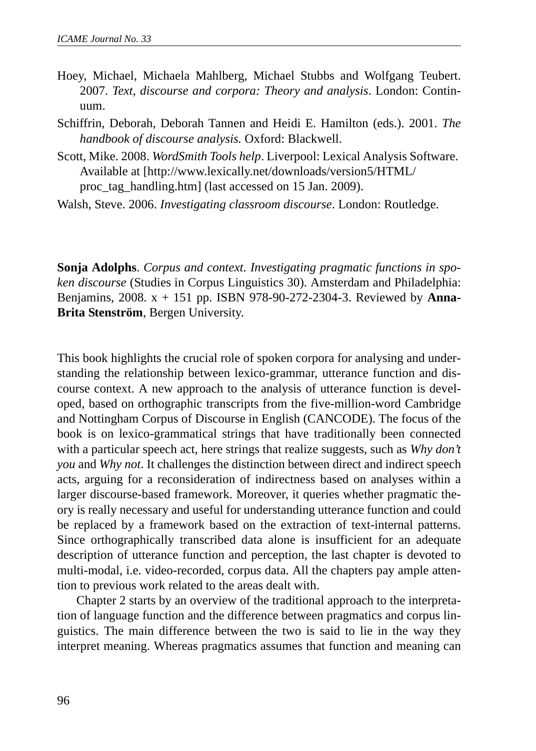- Hoey, Michael, Michaela Mahlberg, Michael Stubbs and Wolfgang Teubert. 2007. *Text, discourse and corpora: Theory and analysis*. London: Continuum.
- Schiffrin, Deborah, Deborah Tannen and Heidi E. Hamilton (eds.). 2001. *The handbook of discourse analysis.* Oxford: Blackwell.
- Scott, Mike. 2008. *WordSmith Tools help*. Liverpool: Lexical Analysis Software. Available at [http://www.lexically.net/downloads/version5/HTML/ proc\_tag\_handling.htm] (last accessed on 15 Jan. 2009).
- Walsh, Steve. 2006. *Investigating classroom discourse*. London: Routledge.

**Sonja Adolphs**. *Corpus and context. Investigating pragmatic functions in spoken discourse* (Studies in Corpus Linguistics 30). Amsterdam and Philadelphia: Benjamins, 2008. x + 151 pp. ISBN 978-90-272-2304-3. Reviewed by **Anna-Brita Stenström**, Bergen University.

This book highlights the crucial role of spoken corpora for analysing and understanding the relationship between lexico-grammar, utterance function and discourse context. A new approach to the analysis of utterance function is developed, based on orthographic transcripts from the five-million-word Cambridge and Nottingham Corpus of Discourse in English (CANCODE). The focus of the book is on lexico-grammatical strings that have traditionally been connected with a particular speech act, here strings that realize suggests, such as *Why don't you* and *Why not*. It challenges the distinction between direct and indirect speech acts, arguing for a reconsideration of indirectness based on analyses within a larger discourse-based framework. Moreover, it queries whether pragmatic theory is really necessary and useful for understanding utterance function and could be replaced by a framework based on the extraction of text-internal patterns. Since orthographically transcribed data alone is insufficient for an adequate description of utterance function and perception, the last chapter is devoted to multi-modal, i.e. video-recorded, corpus data. All the chapters pay ample attention to previous work related to the areas dealt with.

Chapter 2 starts by an overview of the traditional approach to the interpretation of language function and the difference between pragmatics and corpus linguistics. The main difference between the two is said to lie in the way they interpret meaning. Whereas pragmatics assumes that function and meaning can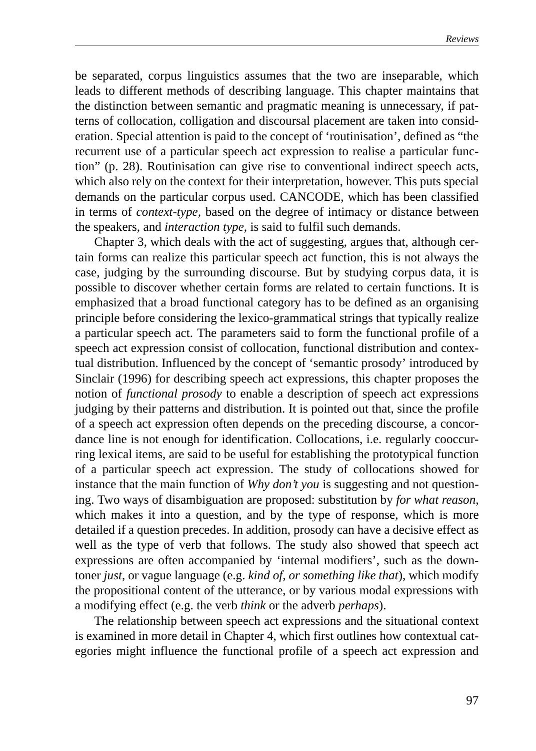be separated, corpus linguistics assumes that the two are inseparable, which leads to different methods of describing language. This chapter maintains that the distinction between semantic and pragmatic meaning is unnecessary, if patterns of collocation, colligation and discoursal placement are taken into consideration. Special attention is paid to the concept of 'routinisation', defined as "the recurrent use of a particular speech act expression to realise a particular function" (p. 28). Routinisation can give rise to conventional indirect speech acts, which also rely on the context for their interpretation, however. This puts special demands on the particular corpus used. CANCODE, which has been classified in terms of *context-type,* based on the degree of intimacy or distance between the speakers, and *interaction type,* is said to fulfil such demands.

Chapter 3, which deals with the act of suggesting, argues that, although certain forms can realize this particular speech act function, this is not always the case, judging by the surrounding discourse. But by studying corpus data, it is possible to discover whether certain forms are related to certain functions. It is emphasized that a broad functional category has to be defined as an organising principle before considering the lexico-grammatical strings that typically realize a particular speech act. The parameters said to form the functional profile of a speech act expression consist of collocation, functional distribution and contextual distribution. Influenced by the concept of 'semantic prosody' introduced by Sinclair (1996) for describing speech act expressions, this chapter proposes the notion of *functional prosody* to enable a description of speech act expressions judging by their patterns and distribution. It is pointed out that, since the profile of a speech act expression often depends on the preceding discourse, a concordance line is not enough for identification. Collocations, i.e. regularly cooccurring lexical items, are said to be useful for establishing the prototypical function of a particular speech act expression. The study of collocations showed for instance that the main function of *Why don't you* is suggesting and not questioning. Two ways of disambiguation are proposed: substitution by *for what reason,* which makes it into a question*,* and by the type of response, which is more detailed if a question precedes. In addition, prosody can have a decisive effect as well as the type of verb that follows. The study also showed that speech act expressions are often accompanied by 'internal modifiers', such as the downtoner *just,* or vague language (e.g. *kind of, or something like that*), which modify the propositional content of the utterance, or by various modal expressions with a modifying effect (e.g. the verb *think* or the adverb *perhaps*).

The relationship between speech act expressions and the situational context is examined in more detail in Chapter 4, which first outlines how contextual categories might influence the functional profile of a speech act expression and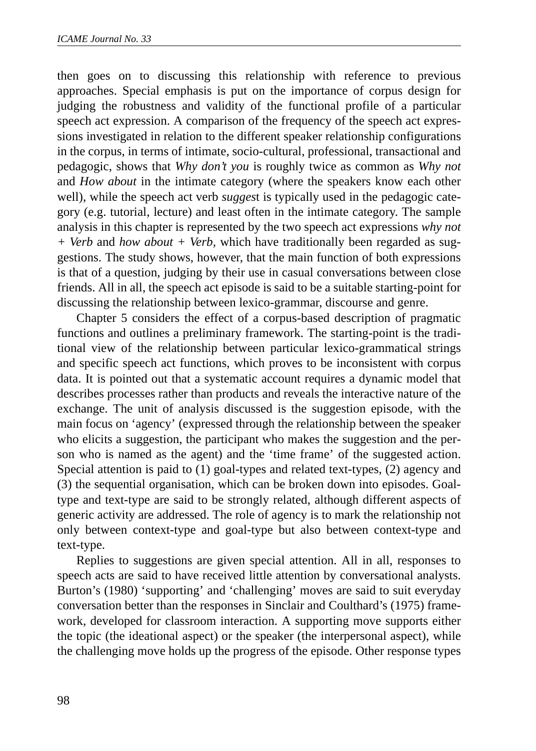then goes on to discussing this relationship with reference to previous approaches. Special emphasis is put on the importance of corpus design for judging the robustness and validity of the functional profile of a particular speech act expression. A comparison of the frequency of the speech act expressions investigated in relation to the different speaker relationship configurations in the corpus, in terms of intimate, socio-cultural, professional, transactional and pedagogic, shows that *Why don't you* is roughly twice as common as *Why not* and *How about* in the intimate category (where the speakers know each other well), while the speech act verb *sugges*t is typically used in the pedagogic category (e.g. tutorial, lecture) and least often in the intimate category. The sample analysis in this chapter is represented by the two speech act expressions *why not + Verb* and *how about + Verb,* which have traditionally been regarded as suggestions. The study shows, however, that the main function of both expressions is that of a question, judging by their use in casual conversations between close friends. All in all, the speech act episode is said to be a suitable starting-point for discussing the relationship between lexico-grammar, discourse and genre.

Chapter 5 considers the effect of a corpus-based description of pragmatic functions and outlines a preliminary framework. The starting-point is the traditional view of the relationship between particular lexico-grammatical strings and specific speech act functions, which proves to be inconsistent with corpus data. It is pointed out that a systematic account requires a dynamic model that describes processes rather than products and reveals the interactive nature of the exchange. The unit of analysis discussed is the suggestion episode, with the main focus on 'agency' (expressed through the relationship between the speaker who elicits a suggestion, the participant who makes the suggestion and the person who is named as the agent) and the 'time frame' of the suggested action. Special attention is paid to (1) goal-types and related text-types, (2) agency and (3) the sequential organisation, which can be broken down into episodes. Goaltype and text-type are said to be strongly related, although different aspects of generic activity are addressed. The role of agency is to mark the relationship not only between context-type and goal-type but also between context-type and text-type.

Replies to suggestions are given special attention. All in all, responses to speech acts are said to have received little attention by conversational analysts. Burton's (1980) 'supporting' and 'challenging' moves are said to suit everyday conversation better than the responses in Sinclair and Coulthard's (1975) framework, developed for classroom interaction. A supporting move supports either the topic (the ideational aspect) or the speaker (the interpersonal aspect), while the challenging move holds up the progress of the episode. Other response types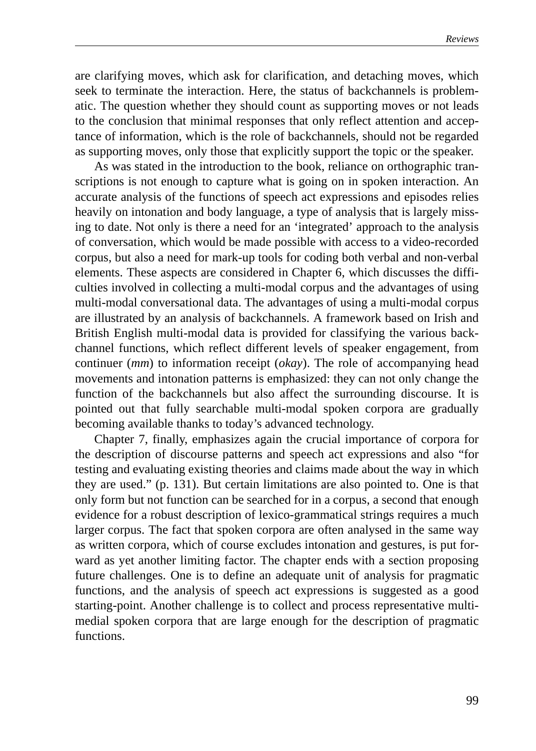are clarifying moves, which ask for clarification, and detaching moves, which seek to terminate the interaction. Here, the status of backchannels is problematic. The question whether they should count as supporting moves or not leads to the conclusion that minimal responses that only reflect attention and acceptance of information, which is the role of backchannels, should not be regarded as supporting moves, only those that explicitly support the topic or the speaker.

As was stated in the introduction to the book, reliance on orthographic transcriptions is not enough to capture what is going on in spoken interaction. An accurate analysis of the functions of speech act expressions and episodes relies heavily on intonation and body language, a type of analysis that is largely missing to date. Not only is there a need for an 'integrated' approach to the analysis of conversation, which would be made possible with access to a video-recorded corpus, but also a need for mark-up tools for coding both verbal and non-verbal elements. These aspects are considered in Chapter 6, which discusses the difficulties involved in collecting a multi-modal corpus and the advantages of using multi-modal conversational data. The advantages of using a multi-modal corpus are illustrated by an analysis of backchannels. A framework based on Irish and British English multi-modal data is provided for classifying the various backchannel functions, which reflect different levels of speaker engagement, from continuer (*mm*) to information receipt (*okay*). The role of accompanying head movements and intonation patterns is emphasized: they can not only change the function of the backchannels but also affect the surrounding discourse. It is pointed out that fully searchable multi-modal spoken corpora are gradually becoming available thanks to today's advanced technology.

Chapter 7, finally, emphasizes again the crucial importance of corpora for the description of discourse patterns and speech act expressions and also "for testing and evaluating existing theories and claims made about the way in which they are used." (p. 131). But certain limitations are also pointed to. One is that only form but not function can be searched for in a corpus, a second that enough evidence for a robust description of lexico-grammatical strings requires a much larger corpus. The fact that spoken corpora are often analysed in the same way as written corpora, which of course excludes intonation and gestures, is put forward as yet another limiting factor. The chapter ends with a section proposing future challenges. One is to define an adequate unit of analysis for pragmatic functions, and the analysis of speech act expressions is suggested as a good starting-point. Another challenge is to collect and process representative multimedial spoken corpora that are large enough for the description of pragmatic functions.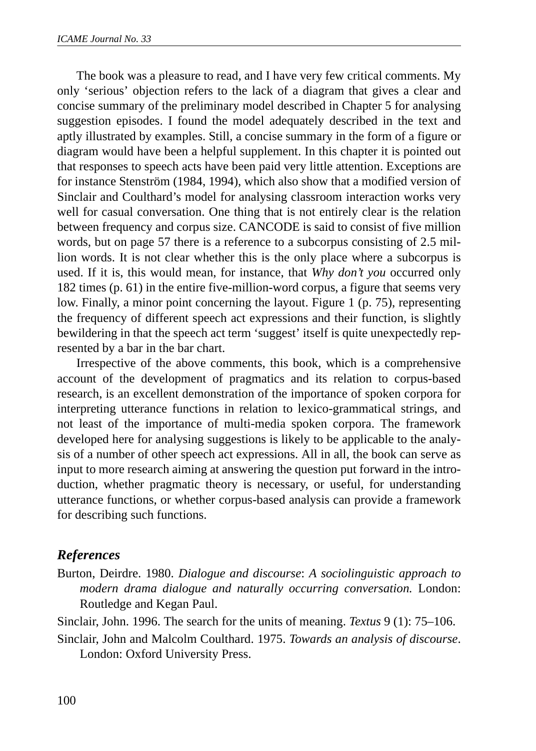The book was a pleasure to read, and I have very few critical comments. My only 'serious' objection refers to the lack of a diagram that gives a clear and concise summary of the preliminary model described in Chapter 5 for analysing suggestion episodes. I found the model adequately described in the text and aptly illustrated by examples. Still, a concise summary in the form of a figure or diagram would have been a helpful supplement. In this chapter it is pointed out that responses to speech acts have been paid very little attention. Exceptions are for instance Stenström (1984, 1994), which also show that a modified version of Sinclair and Coulthard's model for analysing classroom interaction works very well for casual conversation. One thing that is not entirely clear is the relation between frequency and corpus size. CANCODE is said to consist of five million words, but on page 57 there is a reference to a subcorpus consisting of 2.5 million words. It is not clear whether this is the only place where a subcorpus is used. If it is, this would mean, for instance, that *Why don't you* occurred only 182 times (p. 61) in the entire five-million-word corpus, a figure that seems very low. Finally, a minor point concerning the layout. Figure 1 (p. 75), representing the frequency of different speech act expressions and their function, is slightly bewildering in that the speech act term 'suggest' itself is quite unexpectedly represented by a bar in the bar chart.

Irrespective of the above comments, this book, which is a comprehensive account of the development of pragmatics and its relation to corpus-based research, is an excellent demonstration of the importance of spoken corpora for interpreting utterance functions in relation to lexico-grammatical strings, and not least of the importance of multi-media spoken corpora. The framework developed here for analysing suggestions is likely to be applicable to the analysis of a number of other speech act expressions. All in all, the book can serve as input to more research aiming at answering the question put forward in the introduction, whether pragmatic theory is necessary, or useful, for understanding utterance functions, or whether corpus-based analysis can provide a framework for describing such functions.

## *References*

Burton, Deirdre. 1980. *Dialogue and discourse*: *A sociolinguistic approach to modern drama dialogue and naturally occurring conversation.* London: Routledge and Kegan Paul.

Sinclair, John. 1996. The search for the units of meaning. *Textus* 9 (1): 75–106.

Sinclair, John and Malcolm Coulthard. 1975. *Towards an analysis of discourse*. London: Oxford University Press.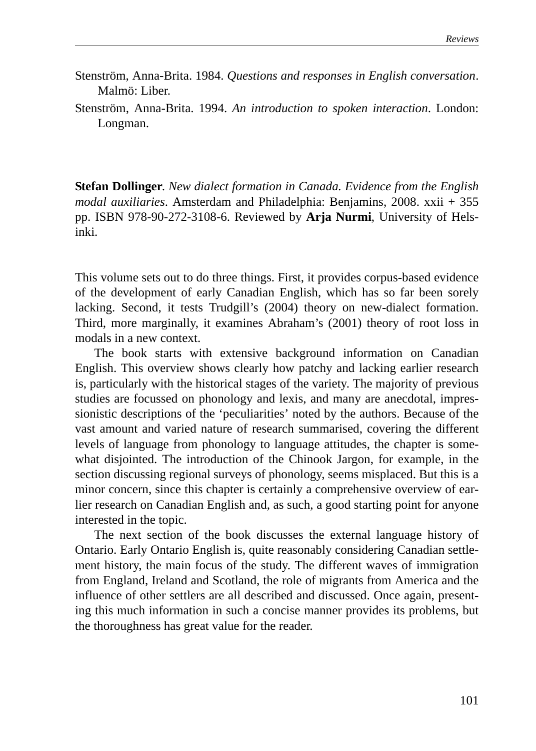- Stenström, Anna-Brita. 1984. *Questions and responses in English conversation*. Malmö: Liber.
- Stenström, Anna-Brita. 1994. *An introduction to spoken interaction*. London: Longman.

**Stefan Dollinger**. *New dialect formation in Canada. Evidence from the English modal auxiliaries*. Amsterdam and Philadelphia: Benjamins, 2008. xxii + 355 pp. ISBN 978-90-272-3108-6. Reviewed by **Arja Nurmi**, University of Helsinki.

This volume sets out to do three things. First, it provides corpus-based evidence of the development of early Canadian English, which has so far been sorely lacking. Second, it tests Trudgill's (2004) theory on new-dialect formation. Third, more marginally, it examines Abraham's (2001) theory of root loss in modals in a new context.

The book starts with extensive background information on Canadian English. This overview shows clearly how patchy and lacking earlier research is, particularly with the historical stages of the variety. The majority of previous studies are focussed on phonology and lexis, and many are anecdotal, impressionistic descriptions of the 'peculiarities' noted by the authors. Because of the vast amount and varied nature of research summarised, covering the different levels of language from phonology to language attitudes, the chapter is somewhat disjointed. The introduction of the Chinook Jargon, for example, in the section discussing regional surveys of phonology, seems misplaced. But this is a minor concern, since this chapter is certainly a comprehensive overview of earlier research on Canadian English and, as such, a good starting point for anyone interested in the topic.

The next section of the book discusses the external language history of Ontario. Early Ontario English is, quite reasonably considering Canadian settlement history, the main focus of the study. The different waves of immigration from England, Ireland and Scotland, the role of migrants from America and the influence of other settlers are all described and discussed. Once again, presenting this much information in such a concise manner provides its problems, but the thoroughness has great value for the reader.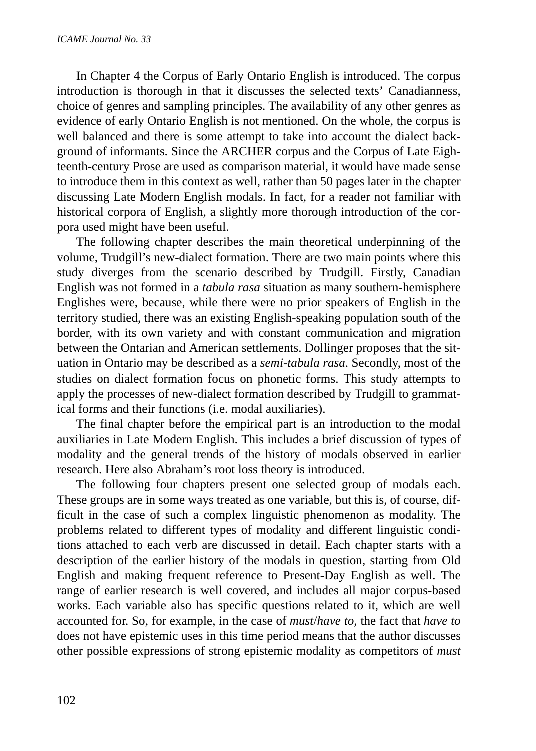In Chapter 4 the Corpus of Early Ontario English is introduced. The corpus introduction is thorough in that it discusses the selected texts' Canadianness, choice of genres and sampling principles. The availability of any other genres as evidence of early Ontario English is not mentioned. On the whole, the corpus is well balanced and there is some attempt to take into account the dialect background of informants. Since the ARCHER corpus and the Corpus of Late Eighteenth-century Prose are used as comparison material, it would have made sense to introduce them in this context as well, rather than 50 pages later in the chapter discussing Late Modern English modals. In fact, for a reader not familiar with historical corpora of English, a slightly more thorough introduction of the corpora used might have been useful.

The following chapter describes the main theoretical underpinning of the volume, Trudgill's new-dialect formation. There are two main points where this study diverges from the scenario described by Trudgill. Firstly, Canadian English was not formed in a *tabula rasa* situation as many southern-hemisphere Englishes were, because, while there were no prior speakers of English in the territory studied, there was an existing English-speaking population south of the border, with its own variety and with constant communication and migration between the Ontarian and American settlements. Dollinger proposes that the situation in Ontario may be described as a *semi-tabula rasa*. Secondly, most of the studies on dialect formation focus on phonetic forms. This study attempts to apply the processes of new-dialect formation described by Trudgill to grammatical forms and their functions (i.e. modal auxiliaries).

The final chapter before the empirical part is an introduction to the modal auxiliaries in Late Modern English. This includes a brief discussion of types of modality and the general trends of the history of modals observed in earlier research. Here also Abraham's root loss theory is introduced.

The following four chapters present one selected group of modals each. These groups are in some ways treated as one variable, but this is, of course, difficult in the case of such a complex linguistic phenomenon as modality. The problems related to different types of modality and different linguistic conditions attached to each verb are discussed in detail. Each chapter starts with a description of the earlier history of the modals in question, starting from Old English and making frequent reference to Present-Day English as well. The range of earlier research is well covered, and includes all major corpus-based works. Each variable also has specific questions related to it, which are well accounted for. So, for example, in the case of *must*/*have to*, the fact that *have to* does not have epistemic uses in this time period means that the author discusses other possible expressions of strong epistemic modality as competitors of *must*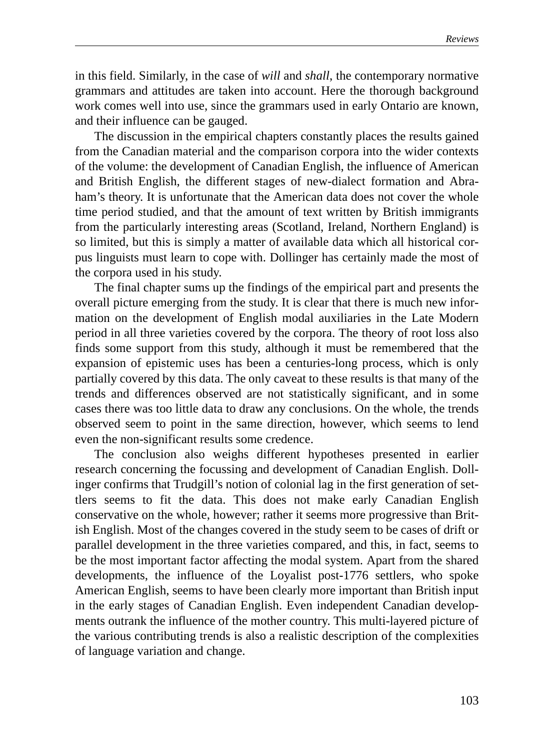in this field. Similarly, in the case of *will* and *shall*, the contemporary normative grammars and attitudes are taken into account. Here the thorough background work comes well into use, since the grammars used in early Ontario are known, and their influence can be gauged.

The discussion in the empirical chapters constantly places the results gained from the Canadian material and the comparison corpora into the wider contexts of the volume: the development of Canadian English, the influence of American and British English, the different stages of new-dialect formation and Abraham's theory. It is unfortunate that the American data does not cover the whole time period studied, and that the amount of text written by British immigrants from the particularly interesting areas (Scotland, Ireland, Northern England) is so limited, but this is simply a matter of available data which all historical corpus linguists must learn to cope with. Dollinger has certainly made the most of the corpora used in his study.

The final chapter sums up the findings of the empirical part and presents the overall picture emerging from the study. It is clear that there is much new information on the development of English modal auxiliaries in the Late Modern period in all three varieties covered by the corpora. The theory of root loss also finds some support from this study, although it must be remembered that the expansion of epistemic uses has been a centuries-long process, which is only partially covered by this data. The only caveat to these results is that many of the trends and differences observed are not statistically significant, and in some cases there was too little data to draw any conclusions. On the whole, the trends observed seem to point in the same direction, however, which seems to lend even the non-significant results some credence.

The conclusion also weighs different hypotheses presented in earlier research concerning the focussing and development of Canadian English. Dollinger confirms that Trudgill's notion of colonial lag in the first generation of settlers seems to fit the data. This does not make early Canadian English conservative on the whole, however; rather it seems more progressive than British English. Most of the changes covered in the study seem to be cases of drift or parallel development in the three varieties compared, and this, in fact, seems to be the most important factor affecting the modal system. Apart from the shared developments, the influence of the Loyalist post-1776 settlers, who spoke American English, seems to have been clearly more important than British input in the early stages of Canadian English. Even independent Canadian developments outrank the influence of the mother country. This multi-layered picture of the various contributing trends is also a realistic description of the complexities of language variation and change.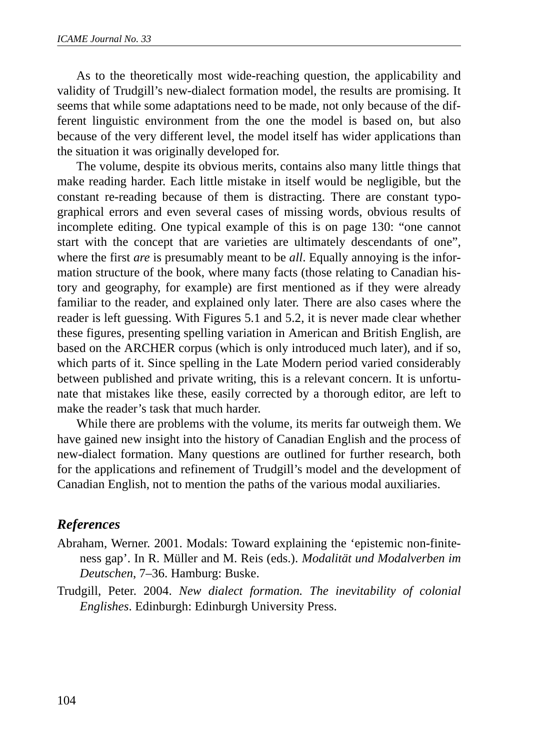As to the theoretically most wide-reaching question, the applicability and validity of Trudgill's new-dialect formation model, the results are promising. It seems that while some adaptations need to be made, not only because of the different linguistic environment from the one the model is based on, but also because of the very different level, the model itself has wider applications than the situation it was originally developed for.

The volume, despite its obvious merits, contains also many little things that make reading harder. Each little mistake in itself would be negligible, but the constant re-reading because of them is distracting. There are constant typographical errors and even several cases of missing words, obvious results of incomplete editing. One typical example of this is on page 130: "one cannot start with the concept that are varieties are ultimately descendants of one", where the first *are* is presumably meant to be *all*. Equally annoying is the information structure of the book, where many facts (those relating to Canadian history and geography, for example) are first mentioned as if they were already familiar to the reader, and explained only later. There are also cases where the reader is left guessing. With Figures 5.1 and 5.2, it is never made clear whether these figures, presenting spelling variation in American and British English, are based on the ARCHER corpus (which is only introduced much later), and if so, which parts of it. Since spelling in the Late Modern period varied considerably between published and private writing, this is a relevant concern. It is unfortunate that mistakes like these, easily corrected by a thorough editor, are left to make the reader's task that much harder.

While there are problems with the volume, its merits far outweigh them. We have gained new insight into the history of Canadian English and the process of new-dialect formation. Many questions are outlined for further research, both for the applications and refinement of Trudgill's model and the development of Canadian English, not to mention the paths of the various modal auxiliaries.

# *References*

- Abraham, Werner. 2001. Modals: Toward explaining the 'epistemic non-finiteness gap'. In R. Müller and M. Reis (eds.). *Modalität und Modalverben im Deutschen*, 7–36. Hamburg: Buske.
- Trudgill, Peter. 2004. *New dialect formation. The inevitability of colonial Englishes*. Edinburgh: Edinburgh University Press.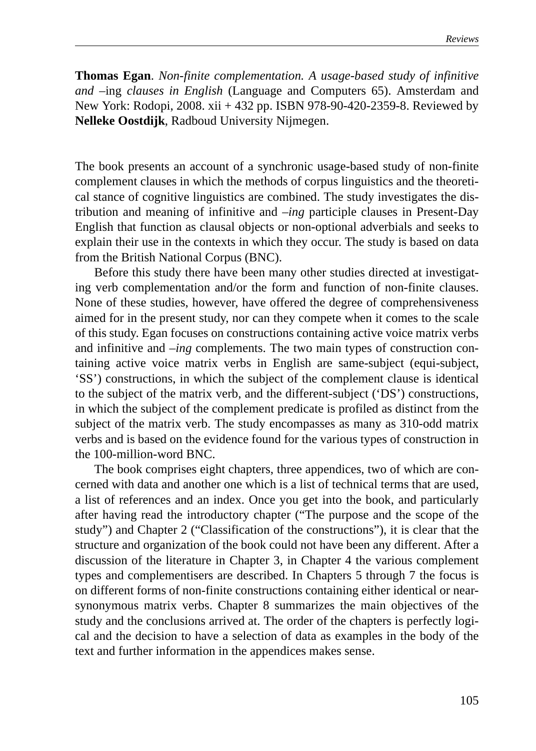**Thomas Egan**. *Non-finite complementation. A usage-based study of infinitive and –*ing *clauses in English* (Language and Computers 65). Amsterdam and New York: Rodopi, 2008. xii + 432 pp. ISBN 978-90-420-2359-8. Reviewed by **Nelleke Oostdijk**, Radboud University Nijmegen.

The book presents an account of a synchronic usage-based study of non-finite complement clauses in which the methods of corpus linguistics and the theoretical stance of cognitive linguistics are combined. The study investigates the distribution and meaning of infinitive and –*ing* participle clauses in Present-Day English that function as clausal objects or non-optional adverbials and seeks to explain their use in the contexts in which they occur. The study is based on data from the British National Corpus (BNC).

Before this study there have been many other studies directed at investigating verb complementation and/or the form and function of non-finite clauses. None of these studies, however, have offered the degree of comprehensiveness aimed for in the present study, nor can they compete when it comes to the scale of this study. Egan focuses on constructions containing active voice matrix verbs and infinitive and –*ing* complements. The two main types of construction containing active voice matrix verbs in English are same-subject (equi-subject, 'SS') constructions, in which the subject of the complement clause is identical to the subject of the matrix verb, and the different-subject ('DS') constructions, in which the subject of the complement predicate is profiled as distinct from the subject of the matrix verb. The study encompasses as many as 310-odd matrix verbs and is based on the evidence found for the various types of construction in the 100-million-word BNC.

The book comprises eight chapters, three appendices, two of which are concerned with data and another one which is a list of technical terms that are used, a list of references and an index. Once you get into the book, and particularly after having read the introductory chapter ("The purpose and the scope of the study") and Chapter 2 ("Classification of the constructions"), it is clear that the structure and organization of the book could not have been any different. After a discussion of the literature in Chapter 3, in Chapter 4 the various complement types and complementisers are described. In Chapters 5 through 7 the focus is on different forms of non-finite constructions containing either identical or nearsynonymous matrix verbs. Chapter 8 summarizes the main objectives of the study and the conclusions arrived at. The order of the chapters is perfectly logical and the decision to have a selection of data as examples in the body of the text and further information in the appendices makes sense.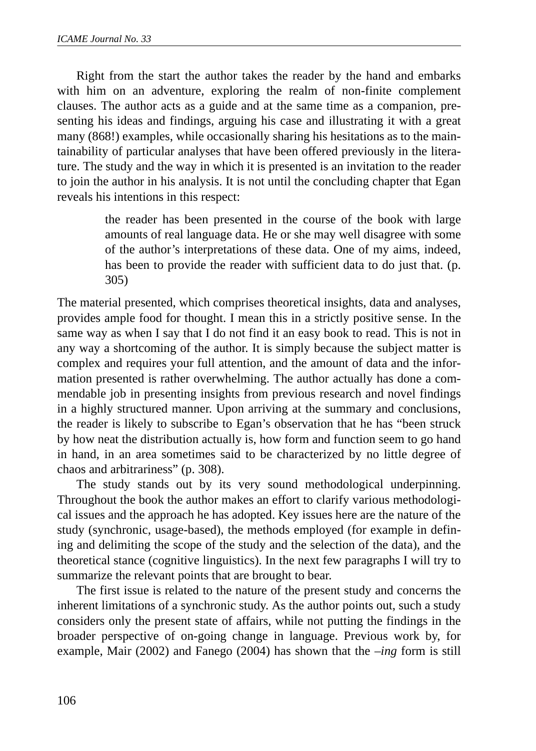Right from the start the author takes the reader by the hand and embarks with him on an adventure, exploring the realm of non-finite complement clauses. The author acts as a guide and at the same time as a companion, presenting his ideas and findings, arguing his case and illustrating it with a great many (868!) examples, while occasionally sharing his hesitations as to the maintainability of particular analyses that have been offered previously in the literature. The study and the way in which it is presented is an invitation to the reader to join the author in his analysis. It is not until the concluding chapter that Egan reveals his intentions in this respect:

> the reader has been presented in the course of the book with large amounts of real language data. He or she may well disagree with some of the author's interpretations of these data. One of my aims, indeed, has been to provide the reader with sufficient data to do just that. (p. 305)

The material presented, which comprises theoretical insights, data and analyses, provides ample food for thought. I mean this in a strictly positive sense. In the same way as when I say that I do not find it an easy book to read. This is not in any way a shortcoming of the author. It is simply because the subject matter is complex and requires your full attention, and the amount of data and the information presented is rather overwhelming. The author actually has done a commendable job in presenting insights from previous research and novel findings in a highly structured manner. Upon arriving at the summary and conclusions, the reader is likely to subscribe to Egan's observation that he has "been struck by how neat the distribution actually is, how form and function seem to go hand in hand, in an area sometimes said to be characterized by no little degree of chaos and arbitrariness" (p. 308).

The study stands out by its very sound methodological underpinning. Throughout the book the author makes an effort to clarify various methodological issues and the approach he has adopted. Key issues here are the nature of the study (synchronic, usage-based), the methods employed (for example in defining and delimiting the scope of the study and the selection of the data), and the theoretical stance (cognitive linguistics). In the next few paragraphs I will try to summarize the relevant points that are brought to bear.

The first issue is related to the nature of the present study and concerns the inherent limitations of a synchronic study. As the author points out, such a study considers only the present state of affairs, while not putting the findings in the broader perspective of on-going change in language. Previous work by, for example, Mair (2002) and Fanego (2004) has shown that the *–ing* form is still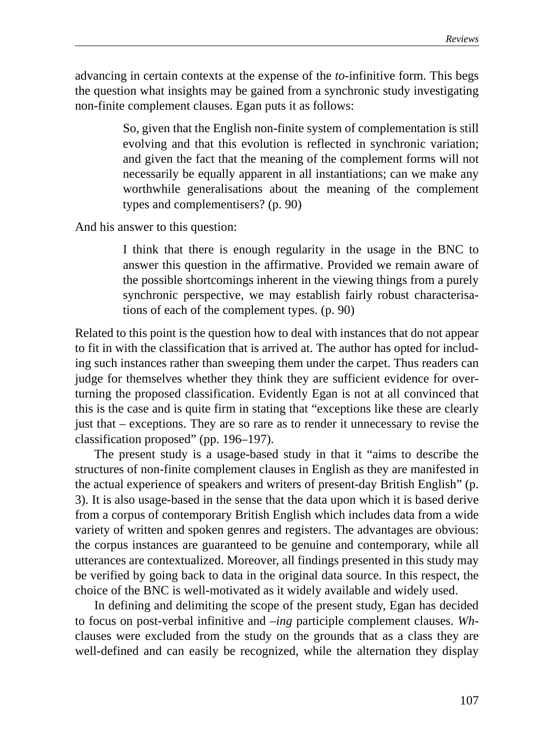advancing in certain contexts at the expense of the *to*-infinitive form. This begs the question what insights may be gained from a synchronic study investigating non-finite complement clauses. Egan puts it as follows:

> So, given that the English non-finite system of complementation is still evolving and that this evolution is reflected in synchronic variation; and given the fact that the meaning of the complement forms will not necessarily be equally apparent in all instantiations; can we make any worthwhile generalisations about the meaning of the complement types and complementisers? (p. 90)

And his answer to this question:

I think that there is enough regularity in the usage in the BNC to answer this question in the affirmative. Provided we remain aware of the possible shortcomings inherent in the viewing things from a purely synchronic perspective, we may establish fairly robust characterisations of each of the complement types. (p. 90)

Related to this point is the question how to deal with instances that do not appear to fit in with the classification that is arrived at. The author has opted for including such instances rather than sweeping them under the carpet. Thus readers can judge for themselves whether they think they are sufficient evidence for overturning the proposed classification. Evidently Egan is not at all convinced that this is the case and is quite firm in stating that "exceptions like these are clearly just that – exceptions. They are so rare as to render it unnecessary to revise the classification proposed" (pp. 196–197).

The present study is a usage-based study in that it "aims to describe the structures of non-finite complement clauses in English as they are manifested in the actual experience of speakers and writers of present-day British English" (p. 3). It is also usage-based in the sense that the data upon which it is based derive from a corpus of contemporary British English which includes data from a wide variety of written and spoken genres and registers. The advantages are obvious: the corpus instances are guaranteed to be genuine and contemporary, while all utterances are contextualized. Moreover, all findings presented in this study may be verified by going back to data in the original data source. In this respect, the choice of the BNC is well-motivated as it widely available and widely used.

In defining and delimiting the scope of the present study, Egan has decided to focus on post-verbal infinitive and –*ing* participle complement clauses. *Wh*clauses were excluded from the study on the grounds that as a class they are well-defined and can easily be recognized, while the alternation they display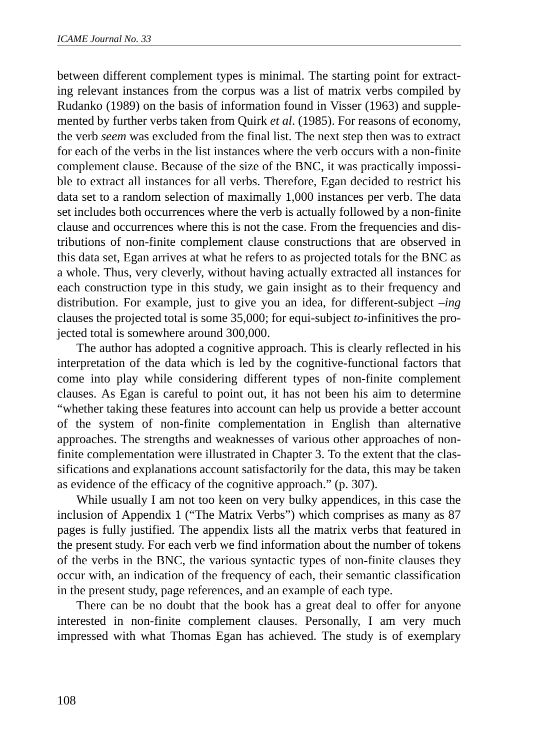between different complement types is minimal. The starting point for extracting relevant instances from the corpus was a list of matrix verbs compiled by Rudanko (1989) on the basis of information found in Visser (1963) and supplemented by further verbs taken from Quirk *et al*. (1985). For reasons of economy, the verb *seem* was excluded from the final list. The next step then was to extract for each of the verbs in the list instances where the verb occurs with a non-finite complement clause. Because of the size of the BNC, it was practically impossible to extract all instances for all verbs. Therefore, Egan decided to restrict his data set to a random selection of maximally 1,000 instances per verb. The data set includes both occurrences where the verb is actually followed by a non-finite clause and occurrences where this is not the case. From the frequencies and distributions of non-finite complement clause constructions that are observed in this data set, Egan arrives at what he refers to as projected totals for the BNC as a whole. Thus, very cleverly, without having actually extracted all instances for each construction type in this study, we gain insight as to their frequency and distribution. For example, just to give you an idea, for different-subject –*ing* clauses the projected total is some 35,000; for equi-subject *to*-infinitives the projected total is somewhere around 300,000.

The author has adopted a cognitive approach. This is clearly reflected in his interpretation of the data which is led by the cognitive-functional factors that come into play while considering different types of non-finite complement clauses. As Egan is careful to point out, it has not been his aim to determine "whether taking these features into account can help us provide a better account of the system of non-finite complementation in English than alternative approaches. The strengths and weaknesses of various other approaches of nonfinite complementation were illustrated in Chapter 3. To the extent that the classifications and explanations account satisfactorily for the data, this may be taken as evidence of the efficacy of the cognitive approach." (p. 307).

While usually I am not too keen on very bulky appendices, in this case the inclusion of Appendix 1 ("The Matrix Verbs") which comprises as many as 87 pages is fully justified. The appendix lists all the matrix verbs that featured in the present study. For each verb we find information about the number of tokens of the verbs in the BNC, the various syntactic types of non-finite clauses they occur with, an indication of the frequency of each, their semantic classification in the present study, page references, and an example of each type.

There can be no doubt that the book has a great deal to offer for anyone interested in non-finite complement clauses. Personally, I am very much impressed with what Thomas Egan has achieved. The study is of exemplary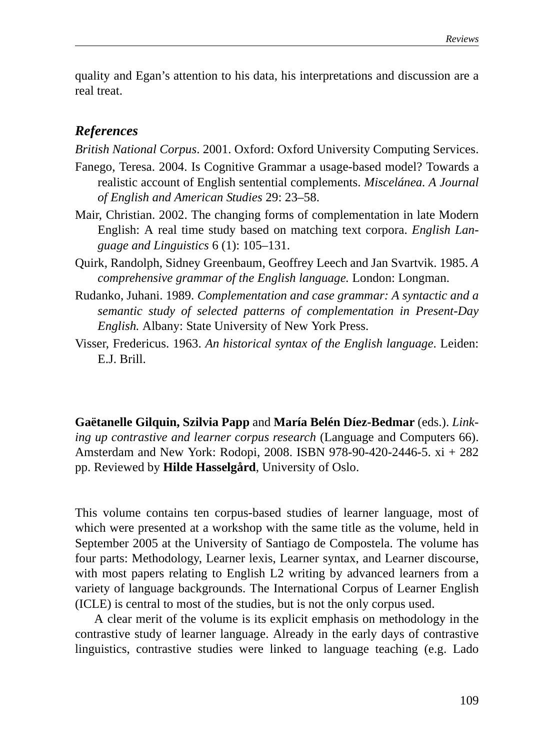quality and Egan's attention to his data, his interpretations and discussion are a real treat.

## *References*

*British National Corpus*. 2001. Oxford: Oxford University Computing Services.

- Fanego, Teresa. 2004. Is Cognitive Grammar a usage-based model? Towards a realistic account of English sentential complements. *Miscelánea. A Journal of English and American Studies* 29: 23–58.
- Mair, Christian. 2002. The changing forms of complementation in late Modern English: A real time study based on matching text corpora. *English Language and Linguistics* 6 (1): 105–131.
- Quirk, Randolph, Sidney Greenbaum, Geoffrey Leech and Jan Svartvik. 1985. *A comprehensive grammar of the English language.* London: Longman.
- Rudanko, Juhani. 1989. *Complementation and case grammar: A syntactic and a semantic study of selected patterns of complementation in Present-Day English.* Albany: State University of New York Press.
- Visser, Fredericus. 1963. *An historical syntax of the English language*. Leiden: E.J. Brill.

**Gaëtanelle Gilquin, Szilvia Papp** and **María Belén Díez-Bedmar** (eds.). *Linking up contrastive and learner corpus research* (Language and Computers 66). Amsterdam and New York: Rodopi, 2008. ISBN 978-90-420-2446-5. xi + 282 pp. Reviewed by **Hilde Hasselgård**, University of Oslo.

This volume contains ten corpus-based studies of learner language, most of which were presented at a workshop with the same title as the volume, held in September 2005 at the University of Santiago de Compostela. The volume has four parts: Methodology, Learner lexis, Learner syntax, and Learner discourse, with most papers relating to English L2 writing by advanced learners from a variety of language backgrounds. The International Corpus of Learner English (ICLE) is central to most of the studies, but is not the only corpus used.

A clear merit of the volume is its explicit emphasis on methodology in the contrastive study of learner language. Already in the early days of contrastive linguistics, contrastive studies were linked to language teaching (e.g. Lado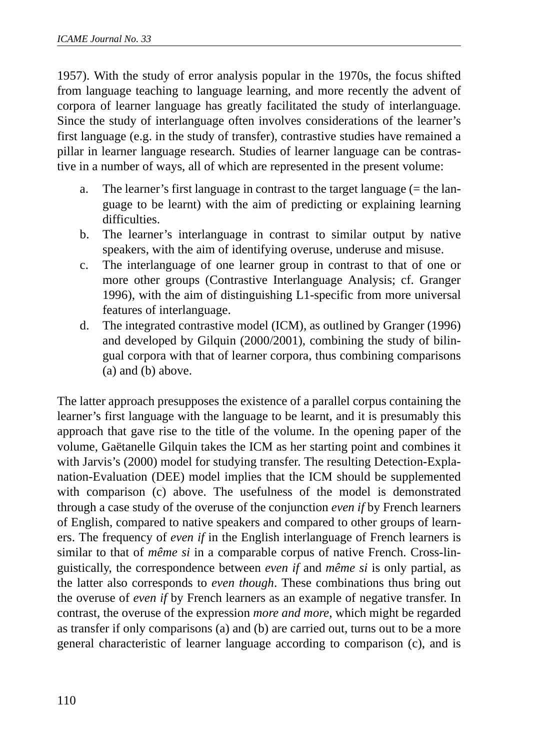1957). With the study of error analysis popular in the 1970s, the focus shifted from language teaching to language learning, and more recently the advent of corpora of learner language has greatly facilitated the study of interlanguage. Since the study of interlanguage often involves considerations of the learner's first language (e.g. in the study of transfer), contrastive studies have remained a pillar in learner language research. Studies of learner language can be contrastive in a number of ways, all of which are represented in the present volume:

- a. The learner's first language in contrast to the target language  $(=$  the language to be learnt) with the aim of predicting or explaining learning difficulties.
- b. The learner's interlanguage in contrast to similar output by native speakers, with the aim of identifying overuse, underuse and misuse.
- c. The interlanguage of one learner group in contrast to that of one or more other groups (Contrastive Interlanguage Analysis; cf. Granger 1996), with the aim of distinguishing L1-specific from more universal features of interlanguage.
- d. The integrated contrastive model (ICM), as outlined by Granger (1996) and developed by Gilquin (2000/2001), combining the study of bilingual corpora with that of learner corpora, thus combining comparisons (a) and (b) above.

The latter approach presupposes the existence of a parallel corpus containing the learner's first language with the language to be learnt, and it is presumably this approach that gave rise to the title of the volume. In the opening paper of the volume, Gaëtanelle Gilquin takes the ICM as her starting point and combines it with Jarvis's (2000) model for studying transfer. The resulting Detection-Explanation-Evaluation (DEE) model implies that the ICM should be supplemented with comparison (c) above. The usefulness of the model is demonstrated through a case study of the overuse of the conjunction *even if* by French learners of English, compared to native speakers and compared to other groups of learners. The frequency of *even if* in the English interlanguage of French learners is similar to that of *même si* in a comparable corpus of native French. Cross-linguistically, the correspondence between *even if* and *même si* is only partial, as the latter also corresponds to *even though*. These combinations thus bring out the overuse of *even if* by French learners as an example of negative transfer. In contrast, the overuse of the expression *more and more*, which might be regarded as transfer if only comparisons (a) and (b) are carried out, turns out to be a more general characteristic of learner language according to comparison (c), and is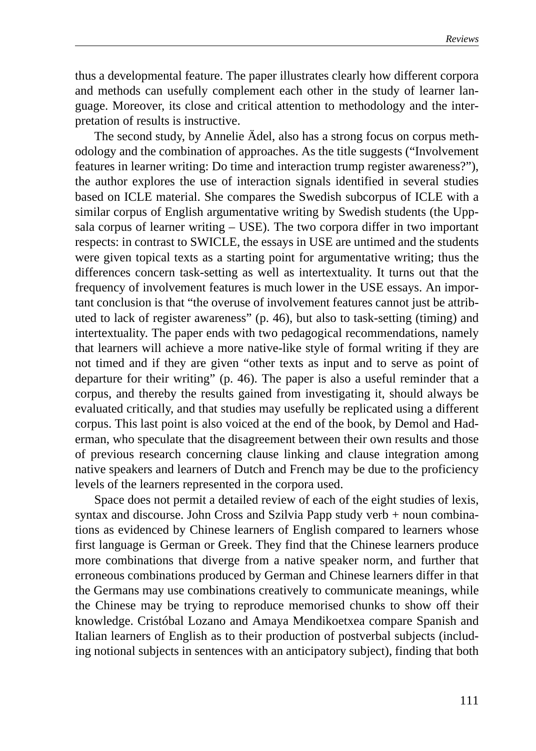thus a developmental feature. The paper illustrates clearly how different corpora and methods can usefully complement each other in the study of learner language. Moreover, its close and critical attention to methodology and the interpretation of results is instructive.

The second study, by Annelie Ädel, also has a strong focus on corpus methodology and the combination of approaches. As the title suggests ("Involvement features in learner writing: Do time and interaction trump register awareness?"), the author explores the use of interaction signals identified in several studies based on ICLE material. She compares the Swedish subcorpus of ICLE with a similar corpus of English argumentative writing by Swedish students (the Uppsala corpus of learner writing – USE). The two corpora differ in two important respects: in contrast to SWICLE, the essays in USE are untimed and the students were given topical texts as a starting point for argumentative writing; thus the differences concern task-setting as well as intertextuality. It turns out that the frequency of involvement features is much lower in the USE essays. An important conclusion is that "the overuse of involvement features cannot just be attributed to lack of register awareness" (p. 46), but also to task-setting (timing) and intertextuality. The paper ends with two pedagogical recommendations, namely that learners will achieve a more native-like style of formal writing if they are not timed and if they are given "other texts as input and to serve as point of departure for their writing" (p. 46). The paper is also a useful reminder that a corpus, and thereby the results gained from investigating it, should always be evaluated critically, and that studies may usefully be replicated using a different corpus. This last point is also voiced at the end of the book, by Demol and Haderman, who speculate that the disagreement between their own results and those of previous research concerning clause linking and clause integration among native speakers and learners of Dutch and French may be due to the proficiency levels of the learners represented in the corpora used.

Space does not permit a detailed review of each of the eight studies of lexis, syntax and discourse. John Cross and Szilvia Papp study verb + noun combinations as evidenced by Chinese learners of English compared to learners whose first language is German or Greek. They find that the Chinese learners produce more combinations that diverge from a native speaker norm, and further that erroneous combinations produced by German and Chinese learners differ in that the Germans may use combinations creatively to communicate meanings, while the Chinese may be trying to reproduce memorised chunks to show off their knowledge. Cristóbal Lozano and Amaya Mendikoetxea compare Spanish and Italian learners of English as to their production of postverbal subjects (including notional subjects in sentences with an anticipatory subject), finding that both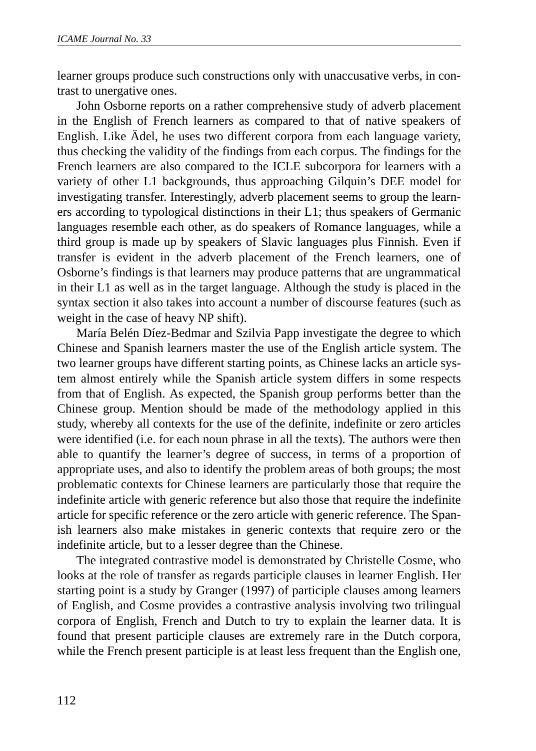learner groups produce such constructions only with unaccusative verbs, in contrast to unergative ones.

John Osborne reports on a rather comprehensive study of adverb placement in the English of French learners as compared to that of native speakers of English. Like Ädel, he uses two different corpora from each language variety, thus checking the validity of the findings from each corpus. The findings for the French learners are also compared to the ICLE subcorpora for learners with a variety of other L1 backgrounds, thus approaching Gilquin's DEE model for investigating transfer. Interestingly, adverb placement seems to group the learners according to typological distinctions in their L1; thus speakers of Germanic languages resemble each other, as do speakers of Romance languages, while a third group is made up by speakers of Slavic languages plus Finnish. Even if transfer is evident in the adverb placement of the French learners, one of Osborne's findings is that learners may produce patterns that are ungrammatical in their L1 as well as in the target language. Although the study is placed in the syntax section it also takes into account a number of discourse features (such as weight in the case of heavy NP shift).

María Belén Díez-Bedmar and Szilvia Papp investigate the degree to which Chinese and Spanish learners master the use of the English article system. The two learner groups have different starting points, as Chinese lacks an article system almost entirely while the Spanish article system differs in some respects from that of English. As expected, the Spanish group performs better than the Chinese group. Mention should be made of the methodology applied in this study, whereby all contexts for the use of the definite, indefinite or zero articles were identified (i.e. for each noun phrase in all the texts). The authors were then able to quantify the learner's degree of success, in terms of a proportion of appropriate uses, and also to identify the problem areas of both groups; the most problematic contexts for Chinese learners are particularly those that require the indefinite article with generic reference but also those that require the indefinite article for specific reference or the zero article with generic reference. The Spanish learners also make mistakes in generic contexts that require zero or the indefinite article, but to a lesser degree than the Chinese.

The integrated contrastive model is demonstrated by Christelle Cosme, who looks at the role of transfer as regards participle clauses in learner English. Her starting point is a study by Granger (1997) of participle clauses among learners of English, and Cosme provides a contrastive analysis involving two trilingual corpora of English, French and Dutch to try to explain the learner data. It is found that present participle clauses are extremely rare in the Dutch corpora, while the French present participle is at least less frequent than the English one,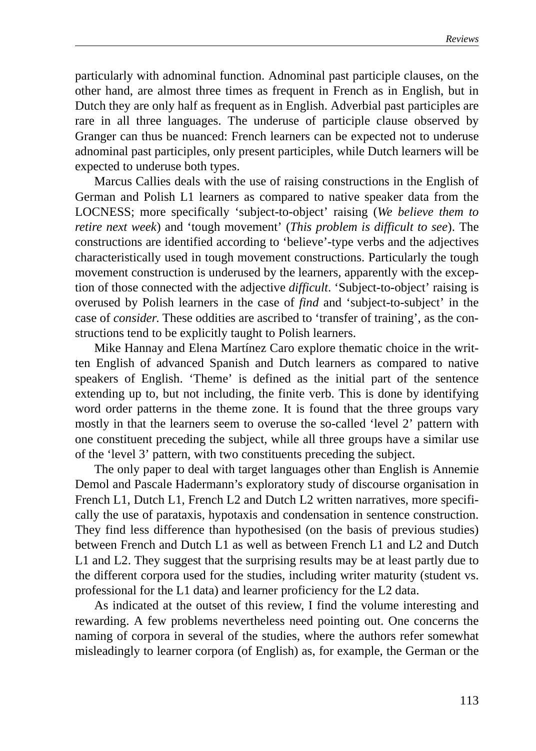particularly with adnominal function. Adnominal past participle clauses, on the other hand, are almost three times as frequent in French as in English, but in Dutch they are only half as frequent as in English. Adverbial past participles are rare in all three languages. The underuse of participle clause observed by Granger can thus be nuanced: French learners can be expected not to underuse adnominal past participles, only present participles, while Dutch learners will be expected to underuse both types.

Marcus Callies deals with the use of raising constructions in the English of German and Polish L1 learners as compared to native speaker data from the LOCNESS; more specifically 'subject-to-object' raising (*We believe them to retire next week*) and 'tough movement' (*This problem is difficult to see*). The constructions are identified according to 'believe'-type verbs and the adjectives characteristically used in tough movement constructions. Particularly the tough movement construction is underused by the learners, apparently with the exception of those connected with the adjective *difficult*. 'Subject-to-object' raising is overused by Polish learners in the case of *find* and 'subject-to-subject' in the case of *consider*. These oddities are ascribed to 'transfer of training', as the constructions tend to be explicitly taught to Polish learners.

Mike Hannay and Elena Martínez Caro explore thematic choice in the written English of advanced Spanish and Dutch learners as compared to native speakers of English. 'Theme' is defined as the initial part of the sentence extending up to, but not including, the finite verb. This is done by identifying word order patterns in the theme zone. It is found that the three groups vary mostly in that the learners seem to overuse the so-called 'level 2' pattern with one constituent preceding the subject, while all three groups have a similar use of the 'level 3' pattern, with two constituents preceding the subject.

The only paper to deal with target languages other than English is Annemie Demol and Pascale Hadermann's exploratory study of discourse organisation in French L1, Dutch L1, French L2 and Dutch L2 written narratives, more specifically the use of parataxis, hypotaxis and condensation in sentence construction. They find less difference than hypothesised (on the basis of previous studies) between French and Dutch L1 as well as between French L1 and L2 and Dutch L1 and L2. They suggest that the surprising results may be at least partly due to the different corpora used for the studies, including writer maturity (student vs. professional for the L1 data) and learner proficiency for the L2 data.

As indicated at the outset of this review, I find the volume interesting and rewarding. A few problems nevertheless need pointing out. One concerns the naming of corpora in several of the studies, where the authors refer somewhat misleadingly to learner corpora (of English) as, for example, the German or the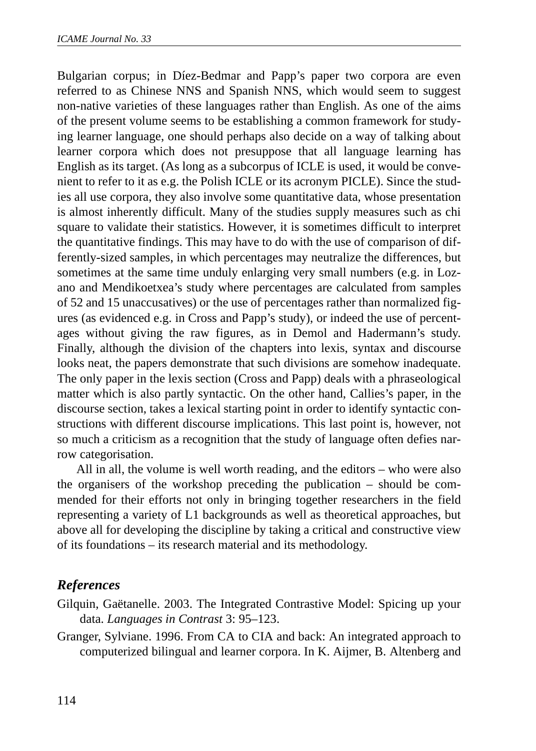Bulgarian corpus; in Díez-Bedmar and Papp's paper two corpora are even referred to as Chinese NNS and Spanish NNS, which would seem to suggest non-native varieties of these languages rather than English. As one of the aims of the present volume seems to be establishing a common framework for studying learner language, one should perhaps also decide on a way of talking about learner corpora which does not presuppose that all language learning has English as its target. (As long as a subcorpus of ICLE is used, it would be convenient to refer to it as e.g. the Polish ICLE or its acronym PICLE). Since the studies all use corpora, they also involve some quantitative data, whose presentation is almost inherently difficult. Many of the studies supply measures such as chi square to validate their statistics. However, it is sometimes difficult to interpret the quantitative findings. This may have to do with the use of comparison of differently-sized samples, in which percentages may neutralize the differences, but sometimes at the same time unduly enlarging very small numbers (e.g. in Lozano and Mendikoetxea's study where percentages are calculated from samples of 52 and 15 unaccusatives) or the use of percentages rather than normalized figures (as evidenced e.g. in Cross and Papp's study), or indeed the use of percentages without giving the raw figures, as in Demol and Hadermann's study. Finally, although the division of the chapters into lexis, syntax and discourse looks neat, the papers demonstrate that such divisions are somehow inadequate. The only paper in the lexis section (Cross and Papp) deals with a phraseological matter which is also partly syntactic. On the other hand, Callies's paper, in the discourse section, takes a lexical starting point in order to identify syntactic constructions with different discourse implications. This last point is, however, not so much a criticism as a recognition that the study of language often defies narrow categorisation.

All in all, the volume is well worth reading, and the editors – who were also the organisers of the workshop preceding the publication – should be commended for their efforts not only in bringing together researchers in the field representing a variety of L1 backgrounds as well as theoretical approaches, but above all for developing the discipline by taking a critical and constructive view of its foundations – its research material and its methodology.

## *References*

- Gilquin, Gaëtanelle. 2003. The Integrated Contrastive Model: Spicing up your data. *Languages in Contrast* 3: 95–123.
- Granger, Sylviane. 1996. From CA to CIA and back: An integrated approach to computerized bilingual and learner corpora. In K. Aijmer, B. Altenberg and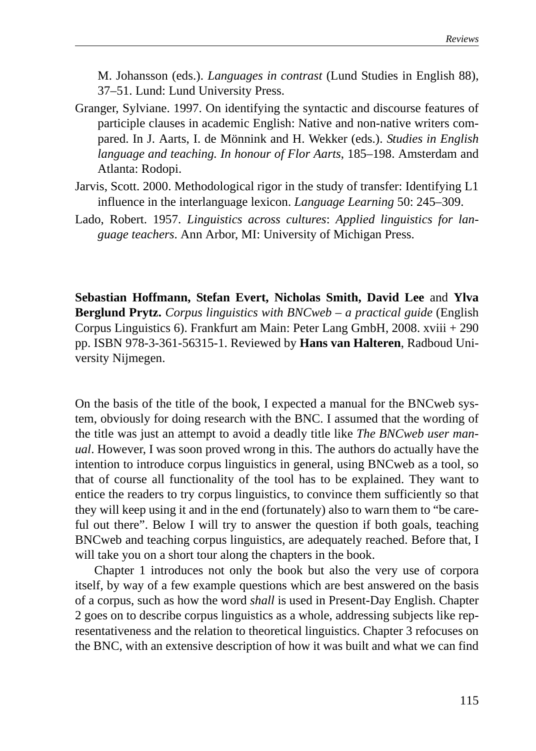M. Johansson (eds.). *Languages in contrast* (Lund Studies in English 88), 37–51. Lund: Lund University Press.

- Granger, Sylviane. 1997. On identifying the syntactic and discourse features of participle clauses in academic English: Native and non-native writers compared. In J. Aarts, I. de Mönnink and H. Wekker (eds.). *Studies in English language and teaching. In honour of Flor Aarts*, 185–198. Amsterdam and Atlanta: Rodopi.
- Jarvis, Scott. 2000. Methodological rigor in the study of transfer: Identifying L1 influence in the interlanguage lexicon. *Language Learning* 50: 245–309.
- Lado, Robert. 1957. *Linguistics across cultures*: *Applied linguistics for language teachers*. Ann Arbor, MI: University of Michigan Press.

**Sebastian Hoffmann, Stefan Evert, Nicholas Smith, David Lee** and **Ylva Berglund Prytz.** *Corpus linguistics with BNCweb – a practical guide* (English Corpus Linguistics 6). Frankfurt am Main: Peter Lang GmbH, 2008. xviii + 290 pp. ISBN 978-3-361-56315-1. Reviewed by **Hans van Halteren**, Radboud University Nijmegen.

On the basis of the title of the book, I expected a manual for the BNCweb system, obviously for doing research with the BNC. I assumed that the wording of the title was just an attempt to avoid a deadly title like *The BNCweb user manual*. However, I was soon proved wrong in this. The authors do actually have the intention to introduce corpus linguistics in general, using BNCweb as a tool, so that of course all functionality of the tool has to be explained. They want to entice the readers to try corpus linguistics, to convince them sufficiently so that they will keep using it and in the end (fortunately) also to warn them to "be careful out there". Below I will try to answer the question if both goals, teaching BNCweb and teaching corpus linguistics, are adequately reached. Before that, I will take you on a short tour along the chapters in the book.

Chapter 1 introduces not only the book but also the very use of corpora itself, by way of a few example questions which are best answered on the basis of a corpus, such as how the word *shall* is used in Present-Day English. Chapter 2 goes on to describe corpus linguistics as a whole, addressing subjects like representativeness and the relation to theoretical linguistics. Chapter 3 refocuses on the BNC, with an extensive description of how it was built and what we can find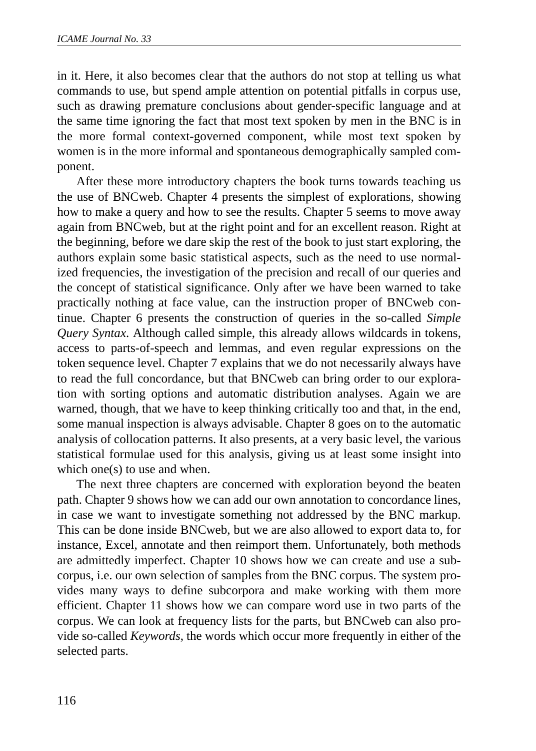in it. Here, it also becomes clear that the authors do not stop at telling us what commands to use, but spend ample attention on potential pitfalls in corpus use, such as drawing premature conclusions about gender-specific language and at the same time ignoring the fact that most text spoken by men in the BNC is in the more formal context-governed component, while most text spoken by women is in the more informal and spontaneous demographically sampled component.

After these more introductory chapters the book turns towards teaching us the use of BNCweb. Chapter 4 presents the simplest of explorations, showing how to make a query and how to see the results. Chapter 5 seems to move away again from BNCweb, but at the right point and for an excellent reason. Right at the beginning, before we dare skip the rest of the book to just start exploring, the authors explain some basic statistical aspects, such as the need to use normalized frequencies, the investigation of the precision and recall of our queries and the concept of statistical significance. Only after we have been warned to take practically nothing at face value, can the instruction proper of BNCweb continue. Chapter 6 presents the construction of queries in the so-called *Simple Query Syntax*. Although called simple, this already allows wildcards in tokens, access to parts-of-speech and lemmas, and even regular expressions on the token sequence level. Chapter 7 explains that we do not necessarily always have to read the full concordance, but that BNCweb can bring order to our exploration with sorting options and automatic distribution analyses. Again we are warned, though, that we have to keep thinking critically too and that, in the end, some manual inspection is always advisable. Chapter 8 goes on to the automatic analysis of collocation patterns. It also presents, at a very basic level, the various statistical formulae used for this analysis, giving us at least some insight into which one(s) to use and when.

The next three chapters are concerned with exploration beyond the beaten path. Chapter 9 shows how we can add our own annotation to concordance lines, in case we want to investigate something not addressed by the BNC markup. This can be done inside BNCweb, but we are also allowed to export data to, for instance, Excel, annotate and then reimport them. Unfortunately, both methods are admittedly imperfect. Chapter 10 shows how we can create and use a subcorpus, i.e. our own selection of samples from the BNC corpus. The system provides many ways to define subcorpora and make working with them more efficient. Chapter 11 shows how we can compare word use in two parts of the corpus. We can look at frequency lists for the parts, but BNCweb can also provide so-called *Keywords*, the words which occur more frequently in either of the selected parts.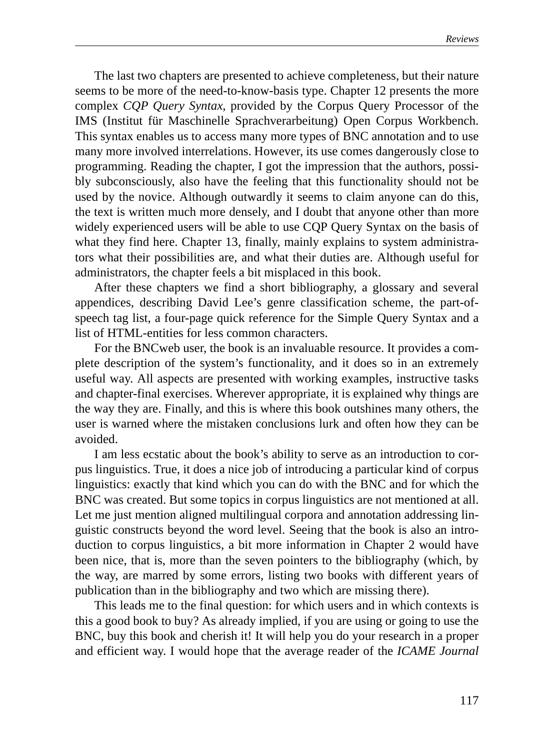The last two chapters are presented to achieve completeness, but their nature seems to be more of the need-to-know-basis type. Chapter 12 presents the more complex *CQP Query Syntax*, provided by the Corpus Query Processor of the IMS (Institut für Maschinelle Sprachverarbeitung) Open Corpus Workbench. This syntax enables us to access many more types of BNC annotation and to use many more involved interrelations. However, its use comes dangerously close to programming. Reading the chapter, I got the impression that the authors, possibly subconsciously, also have the feeling that this functionality should not be used by the novice. Although outwardly it seems to claim anyone can do this, the text is written much more densely, and I doubt that anyone other than more widely experienced users will be able to use CQP Query Syntax on the basis of what they find here. Chapter 13, finally, mainly explains to system administrators what their possibilities are, and what their duties are. Although useful for administrators, the chapter feels a bit misplaced in this book.

After these chapters we find a short bibliography, a glossary and several appendices, describing David Lee's genre classification scheme, the part-ofspeech tag list, a four-page quick reference for the Simple Query Syntax and a list of HTML-entities for less common characters.

For the BNCweb user, the book is an invaluable resource. It provides a complete description of the system's functionality, and it does so in an extremely useful way. All aspects are presented with working examples, instructive tasks and chapter-final exercises. Wherever appropriate, it is explained why things are the way they are. Finally, and this is where this book outshines many others, the user is warned where the mistaken conclusions lurk and often how they can be avoided.

I am less ecstatic about the book's ability to serve as an introduction to corpus linguistics. True, it does a nice job of introducing a particular kind of corpus linguistics: exactly that kind which you can do with the BNC and for which the BNC was created. But some topics in corpus linguistics are not mentioned at all. Let me just mention aligned multilingual corpora and annotation addressing linguistic constructs beyond the word level. Seeing that the book is also an introduction to corpus linguistics, a bit more information in Chapter 2 would have been nice, that is, more than the seven pointers to the bibliography (which, by the way, are marred by some errors, listing two books with different years of publication than in the bibliography and two which are missing there).

This leads me to the final question: for which users and in which contexts is this a good book to buy? As already implied, if you are using or going to use the BNC, buy this book and cherish it! It will help you do your research in a proper and efficient way. I would hope that the average reader of the *ICAME Journal*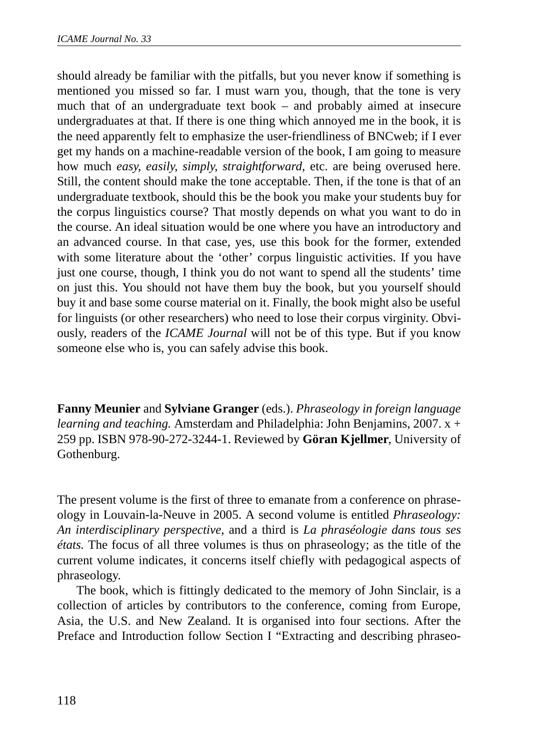should already be familiar with the pitfalls, but you never know if something is mentioned you missed so far. I must warn you, though, that the tone is very much that of an undergraduate text book – and probably aimed at insecure undergraduates at that. If there is one thing which annoyed me in the book, it is the need apparently felt to emphasize the user-friendliness of BNCweb; if I ever get my hands on a machine-readable version of the book, I am going to measure how much *easy*, *easily*, *simply*, *straightforward*, etc. are being overused here. Still, the content should make the tone acceptable. Then, if the tone is that of an undergraduate textbook, should this be the book you make your students buy for the corpus linguistics course? That mostly depends on what you want to do in the course. An ideal situation would be one where you have an introductory and an advanced course. In that case, yes, use this book for the former, extended with some literature about the 'other' corpus linguistic activities. If you have just one course, though, I think you do not want to spend all the students' time on just this. You should not have them buy the book, but you yourself should buy it and base some course material on it. Finally, the book might also be useful for linguists (or other researchers) who need to lose their corpus virginity. Obviously, readers of the *ICAME Journal* will not be of this type. But if you know someone else who is, you can safely advise this book.

**Fanny Meunier** and **Sylviane Granger** (eds.). *Phraseology in foreign language learning and teaching.* Amsterdam and Philadelphia: John Benjamins, 2007. x + 259 pp. ISBN 978-90-272-3244-1. Reviewed by **Göran Kjellmer**, University of Gothenburg.

The present volume is the first of three to emanate from a conference on phraseology in Louvain-la-Neuve in 2005. A second volume is entitled *Phraseology: An interdisciplinary perspective*, and a third is *La phraséologie dans tous ses états.* The focus of all three volumes is thus on phraseology; as the title of the current volume indicates, it concerns itself chiefly with pedagogical aspects of phraseology.

The book, which is fittingly dedicated to the memory of John Sinclair, is a collection of articles by contributors to the conference, coming from Europe, Asia, the U.S. and New Zealand. It is organised into four sections. After the Preface and Introduction follow Section I "Extracting and describing phraseo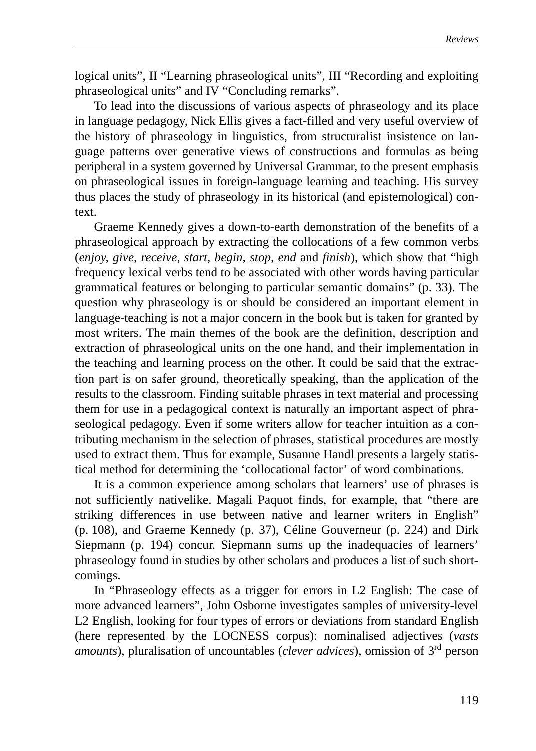logical units", II "Learning phraseological units", III "Recording and exploiting phraseological units" and IV "Concluding remarks".

To lead into the discussions of various aspects of phraseology and its place in language pedagogy, Nick Ellis gives a fact-filled and very useful overview of the history of phraseology in linguistics, from structuralist insistence on language patterns over generative views of constructions and formulas as being peripheral in a system governed by Universal Grammar, to the present emphasis on phraseological issues in foreign-language learning and teaching. His survey thus places the study of phraseology in its historical (and epistemological) context.

Graeme Kennedy gives a down-to-earth demonstration of the benefits of a phraseological approach by extracting the collocations of a few common verbs (*enjoy, give, receive, start, begin, stop, end* and *finish*), which show that "high frequency lexical verbs tend to be associated with other words having particular grammatical features or belonging to particular semantic domains" (p. 33). The question why phraseology is or should be considered an important element in language-teaching is not a major concern in the book but is taken for granted by most writers. The main themes of the book are the definition, description and extraction of phraseological units on the one hand, and their implementation in the teaching and learning process on the other. It could be said that the extraction part is on safer ground, theoretically speaking, than the application of the results to the classroom. Finding suitable phrases in text material and processing them for use in a pedagogical context is naturally an important aspect of phraseological pedagogy. Even if some writers allow for teacher intuition as a contributing mechanism in the selection of phrases, statistical procedures are mostly used to extract them. Thus for example, Susanne Handl presents a largely statistical method for determining the 'collocational factor' of word combinations.

It is a common experience among scholars that learners' use of phrases is not sufficiently nativelike. Magali Paquot finds, for example, that "there are striking differences in use between native and learner writers in English" (p. 108), and Graeme Kennedy (p. 37), Céline Gouverneur (p. 224) and Dirk Siepmann (p. 194) concur. Siepmann sums up the inadequacies of learners' phraseology found in studies by other scholars and produces a list of such shortcomings.

In "Phraseology effects as a trigger for errors in L2 English: The case of more advanced learners", John Osborne investigates samples of university-level L2 English, looking for four types of errors or deviations from standard English (here represented by the LOCNESS corpus): nominalised adjectives (*vasts amounts*), pluralisation of uncountables (*clever advices*), omission of 3rd person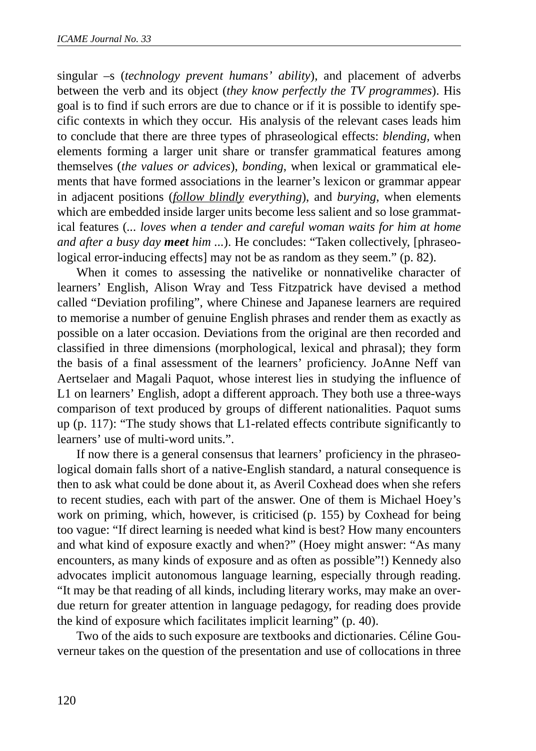singular –s (*technology prevent humans' ability*), and placement of adverbs between the verb and its object (*they know perfectly the TV programmes*). His goal is to find if such errors are due to chance or if it is possible to identify specific contexts in which they occur. His analysis of the relevant cases leads him to conclude that there are three types of phraseological effects: *blending,* when elements forming a larger unit share or transfer grammatical features among themselves (*the values or advices*), *bonding*, when lexical or grammatical elements that have formed associations in the learner's lexicon or grammar appear in adjacent positions (*follow blindly everything*), and *burying*, when elements which are embedded inside larger units become less salient and so lose grammatical features (*... loves when a tender and careful woman waits for him at home and after a busy day meet him ...*). He concludes: "Taken collectively, [phraseological error-inducing effects] may not be as random as they seem." (p. 82).

When it comes to assessing the nativelike or nonnativelike character of learners' English, Alison Wray and Tess Fitzpatrick have devised a method called "Deviation profiling", where Chinese and Japanese learners are required to memorise a number of genuine English phrases and render them as exactly as possible on a later occasion. Deviations from the original are then recorded and classified in three dimensions (morphological, lexical and phrasal); they form the basis of a final assessment of the learners' proficiency. JoAnne Neff van Aertselaer and Magali Paquot, whose interest lies in studying the influence of L1 on learners' English, adopt a different approach. They both use a three-ways comparison of text produced by groups of different nationalities. Paquot sums up (p. 117): "The study shows that L1-related effects contribute significantly to learners' use of multi-word units.".

If now there is a general consensus that learners' proficiency in the phraseological domain falls short of a native-English standard, a natural consequence is then to ask what could be done about it, as Averil Coxhead does when she refers to recent studies, each with part of the answer. One of them is Michael Hoey's work on priming, which, however, is criticised (p. 155) by Coxhead for being too vague: "If direct learning is needed what kind is best? How many encounters and what kind of exposure exactly and when?" (Hoey might answer: "As many encounters, as many kinds of exposure and as often as possible"!) Kennedy also advocates implicit autonomous language learning, especially through reading. "It may be that reading of all kinds, including literary works, may make an overdue return for greater attention in language pedagogy, for reading does provide the kind of exposure which facilitates implicit learning" (p. 40).

Two of the aids to such exposure are textbooks and dictionaries. Céline Gouverneur takes on the question of the presentation and use of collocations in three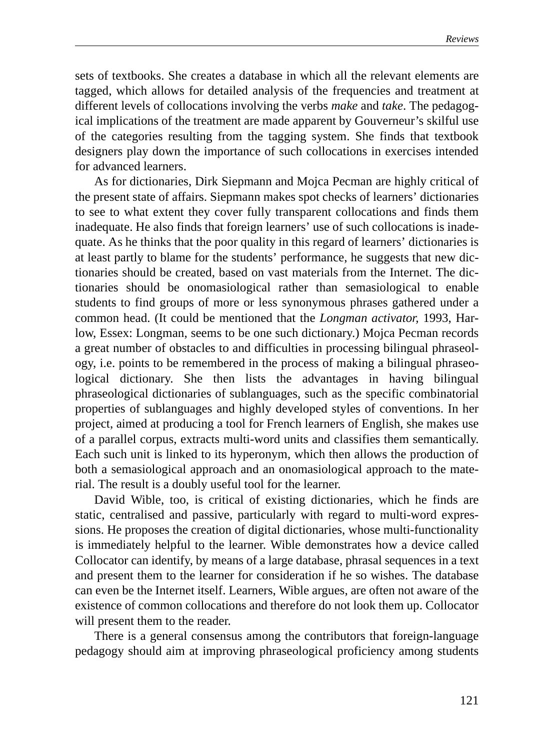sets of textbooks. She creates a database in which all the relevant elements are tagged, which allows for detailed analysis of the frequencies and treatment at different levels of collocations involving the verbs *make* and *take*. The pedagogical implications of the treatment are made apparent by Gouverneur's skilful use of the categories resulting from the tagging system. She finds that textbook designers play down the importance of such collocations in exercises intended for advanced learners.

As for dictionaries, Dirk Siepmann and Mojca Pecman are highly critical of the present state of affairs. Siepmann makes spot checks of learners' dictionaries to see to what extent they cover fully transparent collocations and finds them inadequate. He also finds that foreign learners' use of such collocations is inadequate. As he thinks that the poor quality in this regard of learners' dictionaries is at least partly to blame for the students' performance, he suggests that new dictionaries should be created, based on vast materials from the Internet. The dictionaries should be onomasiological rather than semasiological to enable students to find groups of more or less synonymous phrases gathered under a common head. (It could be mentioned that the *Longman activator,* 1993, Harlow, Essex: Longman, seems to be one such dictionary.) Mojca Pecman records a great number of obstacles to and difficulties in processing bilingual phraseology, i.e. points to be remembered in the process of making a bilingual phraseological dictionary. She then lists the advantages in having bilingual phraseological dictionaries of sublanguages, such as the specific combinatorial properties of sublanguages and highly developed styles of conventions. In her project, aimed at producing a tool for French learners of English, she makes use of a parallel corpus, extracts multi-word units and classifies them semantically. Each such unit is linked to its hyperonym, which then allows the production of both a semasiological approach and an onomasiological approach to the material. The result is a doubly useful tool for the learner.

David Wible, too, is critical of existing dictionaries, which he finds are static, centralised and passive, particularly with regard to multi-word expressions. He proposes the creation of digital dictionaries, whose multi-functionality is immediately helpful to the learner. Wible demonstrates how a device called Collocator can identify, by means of a large database, phrasal sequences in a text and present them to the learner for consideration if he so wishes. The database can even be the Internet itself. Learners, Wible argues, are often not aware of the existence of common collocations and therefore do not look them up. Collocator will present them to the reader.

There is a general consensus among the contributors that foreign-language pedagogy should aim at improving phraseological proficiency among students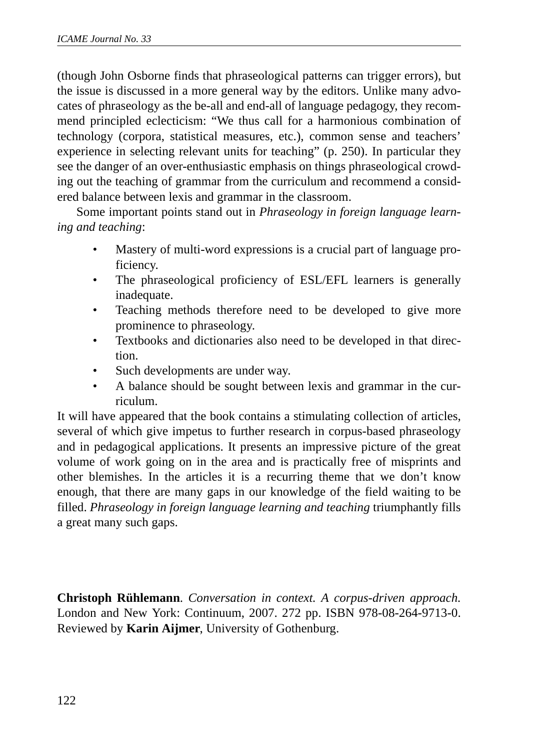(though John Osborne finds that phraseological patterns can trigger errors), but the issue is discussed in a more general way by the editors. Unlike many advocates of phraseology as the be-all and end-all of language pedagogy, they recommend principled eclecticism: "We thus call for a harmonious combination of technology (corpora, statistical measures, etc.), common sense and teachers' experience in selecting relevant units for teaching" (p. 250). In particular they see the danger of an over-enthusiastic emphasis on things phraseological crowding out the teaching of grammar from the curriculum and recommend a considered balance between lexis and grammar in the classroom.

Some important points stand out in *Phraseology in foreign language learning and teaching*:

- Mastery of multi-word expressions is a crucial part of language proficiency.
- The phraseological proficiency of ESL/EFL learners is generally inadequate.
- Teaching methods therefore need to be developed to give more prominence to phraseology.
- Textbooks and dictionaries also need to be developed in that direction.
- Such developments are under way.
- A balance should be sought between lexis and grammar in the curriculum.

It will have appeared that the book contains a stimulating collection of articles, several of which give impetus to further research in corpus-based phraseology and in pedagogical applications. It presents an impressive picture of the great volume of work going on in the area and is practically free of misprints and other blemishes. In the articles it is a recurring theme that we don't know enough, that there are many gaps in our knowledge of the field waiting to be filled. *Phraseology in foreign language learning and teaching* triumphantly fills a great many such gaps.

**Christoph Rühlemann**. *Conversation in context. A corpus-driven approach.* London and New York: Continuum, 2007. 272 pp. ISBN 978-08-264-9713-0. Reviewed by **Karin Aijmer**, University of Gothenburg.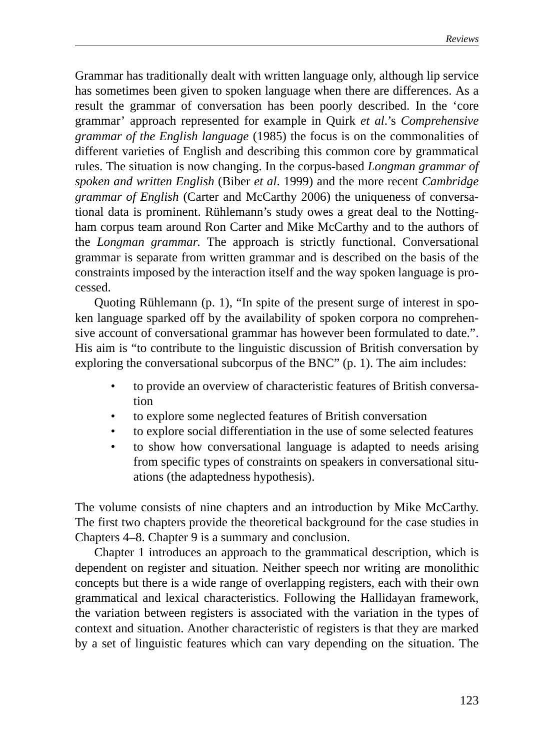Grammar has traditionally dealt with written language only, although lip service has sometimes been given to spoken language when there are differences. As a result the grammar of conversation has been poorly described. In the 'core grammar' approach represented for example in Quirk *et al*.'s *Comprehensive grammar of the English language* (1985) the focus is on the commonalities of different varieties of English and describing this common core by grammatical rules. The situation is now changing. In the corpus-based *Longman grammar of spoken and written English* (Biber *et al*. 1999) and the more recent *Cambridge grammar of English* (Carter and McCarthy 2006) the uniqueness of conversational data is prominent. Rühlemann's study owes a great deal to the Nottingham corpus team around Ron Carter and Mike McCarthy and to the authors of the *Longman grammar*. The approach is strictly functional. Conversational grammar is separate from written grammar and is described on the basis of the constraints imposed by the interaction itself and the way spoken language is processed.

Quoting Rühlemann (p. 1), "In spite of the present surge of interest in spoken language sparked off by the availability of spoken corpora no comprehensive account of conversational grammar has however been formulated to date.". His aim is "to contribute to the linguistic discussion of British conversation by exploring the conversational subcorpus of the BNC" (p. 1). The aim includes:

- to provide an overview of characteristic features of British conversation
- to explore some neglected features of British conversation
- to explore social differentiation in the use of some selected features
- to show how conversational language is adapted to needs arising from specific types of constraints on speakers in conversational situations (the adaptedness hypothesis).

The volume consists of nine chapters and an introduction by Mike McCarthy. The first two chapters provide the theoretical background for the case studies in Chapters 4–8. Chapter 9 is a summary and conclusion.

Chapter 1 introduces an approach to the grammatical description, which is dependent on register and situation. Neither speech nor writing are monolithic concepts but there is a wide range of overlapping registers, each with their own grammatical and lexical characteristics. Following the Hallidayan framework, the variation between registers is associated with the variation in the types of context and situation. Another characteristic of registers is that they are marked by a set of linguistic features which can vary depending on the situation. The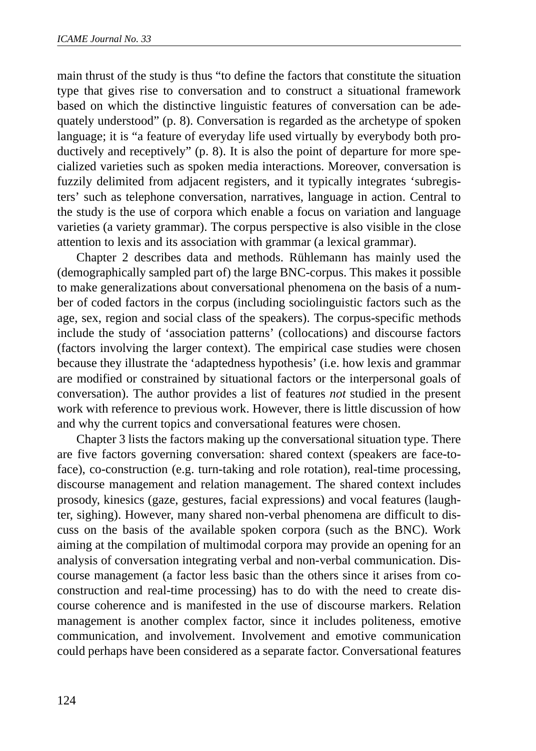main thrust of the study is thus "to define the factors that constitute the situation type that gives rise to conversation and to construct a situational framework based on which the distinctive linguistic features of conversation can be adequately understood" (p. 8). Conversation is regarded as the archetype of spoken language; it is "a feature of everyday life used virtually by everybody both productively and receptively" (p. 8). It is also the point of departure for more specialized varieties such as spoken media interactions. Moreover, conversation is fuzzily delimited from adjacent registers, and it typically integrates 'subregisters' such as telephone conversation, narratives, language in action. Central to the study is the use of corpora which enable a focus on variation and language varieties (a variety grammar). The corpus perspective is also visible in the close attention to lexis and its association with grammar (a lexical grammar).

Chapter 2 describes data and methods. Rühlemann has mainly used the (demographically sampled part of) the large BNC-corpus. This makes it possible to make generalizations about conversational phenomena on the basis of a number of coded factors in the corpus (including sociolinguistic factors such as the age, sex, region and social class of the speakers). The corpus-specific methods include the study of 'association patterns' (collocations) and discourse factors (factors involving the larger context). The empirical case studies were chosen because they illustrate the 'adaptedness hypothesis' (i.e. how lexis and grammar are modified or constrained by situational factors or the interpersonal goals of conversation). The author provides a list of features *not* studied in the present work with reference to previous work. However, there is little discussion of how and why the current topics and conversational features were chosen.

Chapter 3 lists the factors making up the conversational situation type. There are five factors governing conversation: shared context (speakers are face-toface), co-construction (e.g. turn-taking and role rotation), real-time processing, discourse management and relation management. The shared context includes prosody, kinesics (gaze, gestures, facial expressions) and vocal features (laughter, sighing). However, many shared non-verbal phenomena are difficult to discuss on the basis of the available spoken corpora (such as the BNC). Work aiming at the compilation of multimodal corpora may provide an opening for an analysis of conversation integrating verbal and non-verbal communication. Discourse management (a factor less basic than the others since it arises from coconstruction and real-time processing) has to do with the need to create discourse coherence and is manifested in the use of discourse markers. Relation management is another complex factor, since it includes politeness, emotive communication, and involvement. Involvement and emotive communication could perhaps have been considered as a separate factor. Conversational features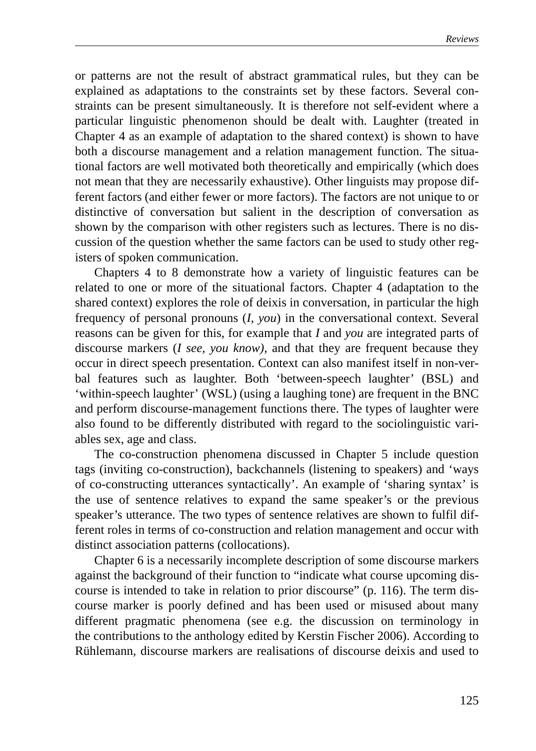or patterns are not the result of abstract grammatical rules, but they can be explained as adaptations to the constraints set by these factors. Several constraints can be present simultaneously. It is therefore not self-evident where a particular linguistic phenomenon should be dealt with. Laughter (treated in Chapter 4 as an example of adaptation to the shared context) is shown to have both a discourse management and a relation management function. The situational factors are well motivated both theoretically and empirically (which does not mean that they are necessarily exhaustive). Other linguists may propose different factors (and either fewer or more factors). The factors are not unique to or distinctive of conversation but salient in the description of conversation as shown by the comparison with other registers such as lectures. There is no discussion of the question whether the same factors can be used to study other registers of spoken communication.

Chapters 4 to 8 demonstrate how a variety of linguistic features can be related to one or more of the situational factors. Chapter 4 (adaptation to the shared context) explores the role of deixis in conversation, in particular the high frequency of personal pronouns (*I, you*) in the conversational context. Several reasons can be given for this, for example that *I* and *you* are integrated parts of discourse markers (*I see, you know),* and that they are frequent because they occur in direct speech presentation. Context can also manifest itself in non-verbal features such as laughter. Both 'between-speech laughter' (BSL) and 'within-speech laughter' (WSL) (using a laughing tone) are frequent in the BNC and perform discourse-management functions there. The types of laughter were also found to be differently distributed with regard to the sociolinguistic variables sex, age and class.

The co-construction phenomena discussed in Chapter 5 include question tags (inviting co-construction), backchannels (listening to speakers) and 'ways of co-constructing utterances syntactically'. An example of 'sharing syntax' is the use of sentence relatives to expand the same speaker's or the previous speaker's utterance. The two types of sentence relatives are shown to fulfil different roles in terms of co-construction and relation management and occur with distinct association patterns (collocations).

Chapter 6 is a necessarily incomplete description of some discourse markers against the background of their function to "indicate what course upcoming discourse is intended to take in relation to prior discourse" (p. 116). The term discourse marker is poorly defined and has been used or misused about many different pragmatic phenomena (see e.g. the discussion on terminology in the contributions to the anthology edited by Kerstin Fischer 2006). According to Rühlemann, discourse markers are realisations of discourse deixis and used to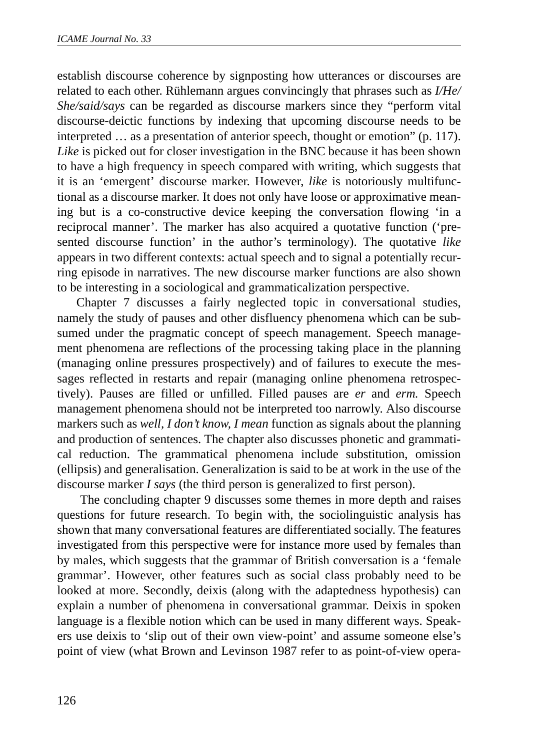establish discourse coherence by signposting how utterances or discourses are related to each other. Rühlemann argues convincingly that phrases such as *I/He/ She/said/says* can be regarded as discourse markers since they "perform vital discourse-deictic functions by indexing that upcoming discourse needs to be interpreted … as a presentation of anterior speech, thought or emotion" (p. 117). *Like* is picked out for closer investigation in the BNC because it has been shown to have a high frequency in speech compared with writing, which suggests that it is an 'emergent' discourse marker. However, *like* is notoriously multifunctional as a discourse marker. It does not only have loose or approximative meaning but is a co-constructive device keeping the conversation flowing 'in a reciprocal manner'. The marker has also acquired a quotative function ('presented discourse function' in the author's terminology). The quotative *like* appears in two different contexts: actual speech and to signal a potentially recurring episode in narratives. The new discourse marker functions are also shown to be interesting in a sociological and grammaticalization perspective.

Chapter 7 discusses a fairly neglected topic in conversational studies, namely the study of pauses and other disfluency phenomena which can be subsumed under the pragmatic concept of speech management. Speech management phenomena are reflections of the processing taking place in the planning (managing online pressures prospectively) and of failures to execute the messages reflected in restarts and repair (managing online phenomena retrospectively). Pauses are filled or unfilled. Filled pauses are *er* and *erm.* Speech management phenomena should not be interpreted too narrowly. Also discourse markers such as *well, I don't know, I mean* function as signals about the planning and production of sentences. The chapter also discusses phonetic and grammatical reduction. The grammatical phenomena include substitution, omission (ellipsis) and generalisation. Generalization is said to be at work in the use of the discourse marker *I says* (the third person is generalized to first person).

 The concluding chapter 9 discusses some themes in more depth and raises questions for future research. To begin with, the sociolinguistic analysis has shown that many conversational features are differentiated socially. The features investigated from this perspective were for instance more used by females than by males, which suggests that the grammar of British conversation is a 'female grammar'. However, other features such as social class probably need to be looked at more. Secondly, deixis (along with the adaptedness hypothesis) can explain a number of phenomena in conversational grammar. Deixis in spoken language is a flexible notion which can be used in many different ways. Speakers use deixis to 'slip out of their own view-point' and assume someone else's point of view (what Brown and Levinson 1987 refer to as point-of-view opera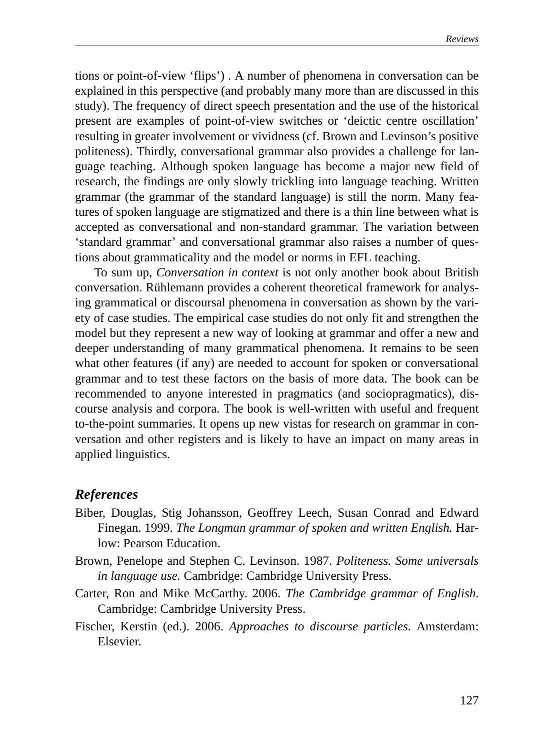tions or point-of-view 'flips') . A number of phenomena in conversation can be explained in this perspective (and probably many more than are discussed in this study). The frequency of direct speech presentation and the use of the historical present are examples of point-of-view switches or 'deictic centre oscillation' resulting in greater involvement or vividness (cf. Brown and Levinson's positive politeness). Thirdly, conversational grammar also provides a challenge for language teaching. Although spoken language has become a major new field of research, the findings are only slowly trickling into language teaching. Written grammar (the grammar of the standard language) is still the norm. Many features of spoken language are stigmatized and there is a thin line between what is accepted as conversational and non-standard grammar. The variation between 'standard grammar' and conversational grammar also raises a number of questions about grammaticality and the model or norms in EFL teaching.

To sum up, *Conversation in context* is not only another book about British conversation. Rühlemann provides a coherent theoretical framework for analysing grammatical or discoursal phenomena in conversation as shown by the variety of case studies. The empirical case studies do not only fit and strengthen the model but they represent a new way of looking at grammar and offer a new and deeper understanding of many grammatical phenomena. It remains to be seen what other features (if any) are needed to account for spoken or conversational grammar and to test these factors on the basis of more data. The book can be recommended to anyone interested in pragmatics (and sociopragmatics), discourse analysis and corpora. The book is well-written with useful and frequent to-the-point summaries. It opens up new vistas for research on grammar in conversation and other registers and is likely to have an impact on many areas in applied linguistics.

#### *References*

- Biber, Douglas, Stig Johansson, Geoffrey Leech, Susan Conrad and Edward Finegan. 1999. *The Longman grammar of spoken and written English.* Harlow: Pearson Education.
- Brown, Penelope and Stephen C. Levinson. 1987. *Politeness. Some universals in language use.* Cambridge: Cambridge University Press.
- Carter, Ron and Mike McCarthy. 2006. *The Cambridge grammar of English*. Cambridge: Cambridge University Press.
- Fischer, Kerstin (ed.). 2006. *Approaches to discourse particles*. Amsterdam: Elsevier.